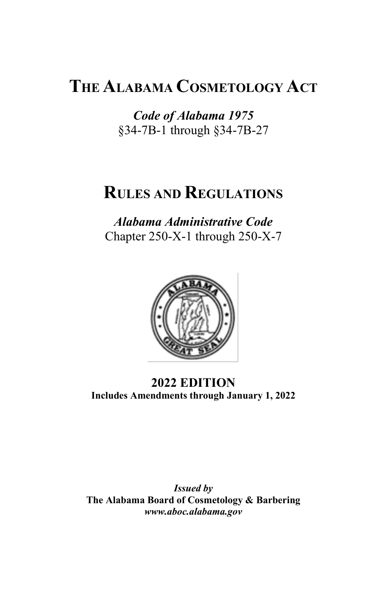# **THE ALABAMA COSMETOLOGY ACT**

*Code of Alabama 1975* §34-7B-1 through §34-7B-27

# **RULES AND REGULATIONS**

*Alabama Administrative Code* Chapter 250-X-1 through 250-X-7



**2022 EDITION Includes Amendments through January 1, 2022**

*Issued by* **The Alabama Board of Cosmetology & Barbering** *www.aboc.alabama.gov*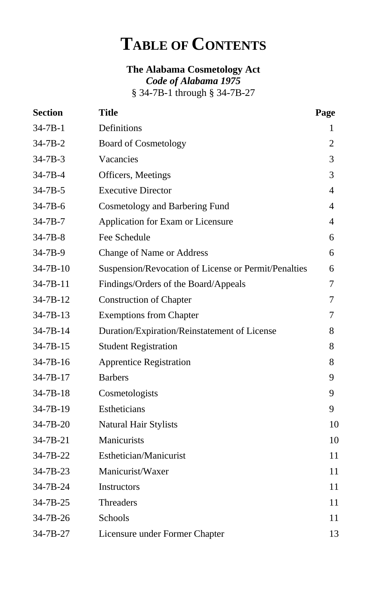# **TABLE OF CONTENTS**

# **The Alabama Cosmetology Act** *Code of Alabama 1975* § 34-7B-1 through § 34-7B-27

| <b>Section</b> | <b>Title</b>                                         | Page           |
|----------------|------------------------------------------------------|----------------|
| $34 - 7B - 1$  | Definitions                                          | 1              |
| $34 - 7B - 2$  | <b>Board of Cosmetology</b>                          | $\overline{c}$ |
| $34 - 7B - 3$  | Vacancies                                            | 3              |
| $34 - 7B - 4$  | Officers, Meetings                                   | 3              |
| $34 - 7B - 5$  | <b>Executive Director</b>                            | 4              |
| $34 - 7B - 6$  | Cosmetology and Barbering Fund                       | 4              |
| $34 - 7B - 7$  | Application for Exam or Licensure                    | 4              |
| $34 - 7B - 8$  | Fee Schedule                                         | 6              |
| $34 - 7B - 9$  | Change of Name or Address                            | 6              |
| $34 - 7B - 10$ | Suspension/Revocation of License or Permit/Penalties | 6              |
| 34-7B-11       | Findings/Orders of the Board/Appeals                 | 7              |
| $34 - 7B - 12$ | <b>Construction of Chapter</b>                       | 7              |
| $34 - 7B - 13$ | <b>Exemptions from Chapter</b>                       | 7              |
| 34-7B-14       | Duration/Expiration/Reinstatement of License         | 8              |
| $34 - 7B - 15$ | <b>Student Registration</b>                          | 8              |
| 34-7B-16       | <b>Apprentice Registration</b>                       | 8              |
| $34 - 7B - 17$ | <b>Barbers</b>                                       | 9              |
| 34-7B-18       | Cosmetologists                                       | 9              |
| 34-7B-19       | Estheticians                                         | 9              |
| 34-7B-20       | <b>Natural Hair Stylists</b>                         | 10             |
| 34-7B-21       | Manicurists                                          | 10             |
| 34-7B-22       | Esthetician/Manicurist                               | 11             |
| 34-7B-23       | Manicurist/Waxer                                     | 11             |
| 34-7B-24       | Instructors                                          | 11             |
| 34-7B-25       | <b>Threaders</b>                                     | 11             |
| 34-7B-26       | Schools                                              | 11             |
| 34-7B-27       | Licensure under Former Chapter                       | 13             |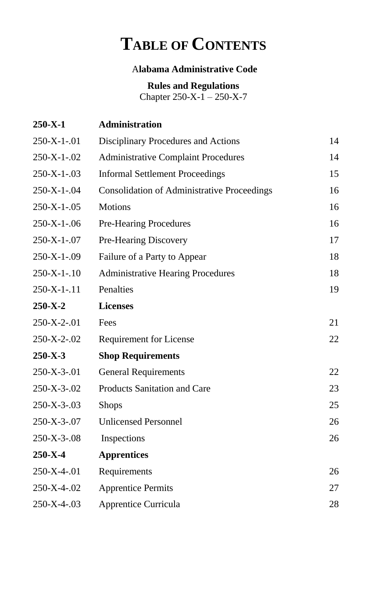# **TABLE OF CONTENTS**

## A**labama Administrative Code**

# **Rules and Regulations**

Chapter 250-X-1 – 250-X-7

| $250 - X - 1$       | <b>Administration</b>                              |    |
|---------------------|----------------------------------------------------|----|
| $250-X-1-01$        | Disciplinary Procedures and Actions                | 14 |
| $250 - X - 1 - 02$  | <b>Administrative Complaint Procedures</b>         | 14 |
| $250-X-1-03$        | <b>Informal Settlement Proceedings</b>             | 15 |
| $250 - X - 1 - 04$  | <b>Consolidation of Administrative Proceedings</b> | 16 |
| $250 - X - 1 - 05$  | <b>Motions</b>                                     | 16 |
| $250-X-1-06$        | <b>Pre-Hearing Procedures</b>                      | 16 |
| $250-X-1-07$        | Pre-Hearing Discovery                              | 17 |
| $250-X-1-09$        | Failure of a Party to Appear                       | 18 |
| $250-X-1-10$        | <b>Administrative Hearing Procedures</b>           | 18 |
| $250-X-1-.11$       | Penalties                                          | 19 |
| $250 - X - 2$       | <b>Licenses</b>                                    |    |
| $250 - X - 2 - 01$  | Fees                                               | 21 |
| $250 - X - 2 - 02$  | Requirement for License                            | 22 |
| $250 - X - 3$       | <b>Shop Requirements</b>                           |    |
| $250 - X - 3 - 01$  | <b>General Requirements</b>                        | 22 |
| $250 - X - 3 - 02$  | Products Sanitation and Care                       | 23 |
| $250 - X - 3 - .03$ | <b>Shops</b>                                       | 25 |
| $250 - X - 3 - .07$ | <b>Unlicensed Personnel</b>                        | 26 |
| $250-X-3-08$        | Inspections                                        | 26 |
| $250 - X - 4$       | <b>Apprentices</b>                                 |    |
| 250-X-4-.01         | Requirements                                       | 26 |
| 250-X-4-.02         | <b>Apprentice Permits</b>                          | 27 |
| $250-X-4-03$        | Apprentice Curricula                               | 28 |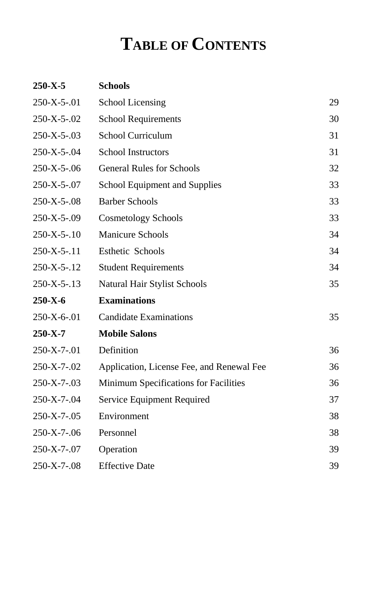# **TABLE OF CONTENTS**

| $250 - X - 5$       | <b>Schools</b>                            |    |
|---------------------|-------------------------------------------|----|
| $250 - X - 5 - 01$  | <b>School Licensing</b>                   | 29 |
| $250 - X - 5 - 02$  | <b>School Requirements</b>                | 30 |
| $250 - X - 5 - .03$ | <b>School Curriculum</b>                  | 31 |
| 250-X-5-.04         | <b>School Instructors</b>                 | 31 |
| $250 - X - 5 - 06$  | <b>General Rules for Schools</b>          | 32 |
| 250-X-5-.07         | <b>School Equipment and Supplies</b>      | 33 |
| $250 - X - 5 - .08$ | <b>Barber Schools</b>                     | 33 |
| 250-X-5-.09         | <b>Cosmetology Schools</b>                | 33 |
| $250-X-5-10$        | <b>Manicure Schools</b>                   | 34 |
| $250 - X - 5 - 11$  | Esthetic Schools                          | 34 |
| $250 - X - 5 - 12$  | <b>Student Requirements</b>               | 34 |
| $250 - X - 5 - 13$  | <b>Natural Hair Stylist Schools</b>       | 35 |
| $250 - X - 6$       | <b>Examinations</b>                       |    |
| $250 - X - 6 - 01$  | <b>Candidate Examinations</b>             | 35 |
| $250 - X - 7$       | <b>Mobile Salons</b>                      |    |
| 250-X-7-.01         | Definition                                | 36 |
| $250 - X - 7 - 02$  | Application, License Fee, and Renewal Fee | 36 |
| $250-X-7-03$        | Minimum Specifications for Facilities     | 36 |
| 250-X-7-.04         | Service Equipment Required                | 37 |
| $250 - X - 7 - 05$  | Environment                               | 38 |
| $250-X-7-06$        | Personnel                                 | 38 |
| 250-X-7-.07         | Operation                                 | 39 |
| 250-X-7-.08         | <b>Effective Date</b>                     | 39 |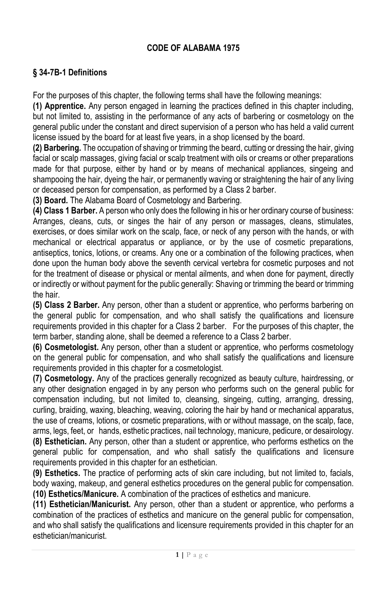# **CODE OF ALABAMA 1975**

# **§ 34-7B-1 Definitions**

For the purposes of this chapter, the following terms shall have the following meanings:

**(1) Apprentice.** Any person engaged in learning the practices defined in this chapter including, but not limited to, assisting in the performance of any acts of barbering or cosmetology on the general public under the constant and direct supervision of a person who has held a valid current license issued by the board for at least five years, in a shop licensed by the board.

**(2) Barbering.** The occupation of shaving or trimming the beard, cutting or dressing the hair, giving facial or scalp massages, giving facial or scalp treatment with oils or creams or other preparations made for that purpose, either by hand or by means of mechanical appliances, singeing and shampooing the hair, dyeing the hair, or permanently waving or straightening the hair of any living or deceased person for compensation, as performed by a Class 2 barber.

**(3) Board.** The Alabama Board of Cosmetology and Barbering.

**(4) Class 1 Barber.** A person who only does the following in his or her ordinary course of business: Arranges, cleans, cuts, or singes the hair of any person or massages, cleans, stimulates, exercises, or does similar work on the scalp, face, or neck of any person with the hands, or with mechanical or electrical apparatus or appliance, or by the use of cosmetic preparations, antiseptics, tonics, lotions, or creams. Any one or a combination of the following practices, when done upon the human body above the seventh cervical vertebra for cosmetic purposes and not for the treatment of disease or physical or mental ailments, and when done for payment, directly or indirectly or without payment for the public generally: Shaving or trimming the beard or trimming the hair.

**(5) Class 2 Barber.** Any person, other than a student or apprentice, who performs barbering on the general public for compensation, and who shall satisfy the qualifications and licensure requirements provided in this chapter for a Class 2 barber. For the purposes of this chapter, the term barber, standing alone, shall be deemed a reference to a Class 2 barber.

**(6) Cosmetologist.** Any person, other than a student or apprentice, who performs cosmetology on the general public for compensation, and who shall satisfy the qualifications and licensure requirements provided in this chapter for a cosmetologist.

**(7) Cosmetology.** Any of the practices generally recognized as beauty culture, hairdressing, or any other designation engaged in by any person who performs such on the general public for compensation including, but not limited to, cleansing, singeing, cutting, arranging, dressing, curling, braiding, waxing, bleaching, weaving, coloring the hair by hand or mechanical apparatus, the use of creams, lotions, or cosmetic preparations, with or without massage, on the scalp, face, arms, legs, feet, or hands, esthetic practices, nail technology, manicure, pedicure, or desairology. **(8) Esthetician.** Any person, other than a student or apprentice, who performs esthetics on the general public for compensation, and who shall satisfy the qualifications and licensure

requirements provided in this chapter for an esthetician.

**(9) Esthetics.** The practice of performing acts of skin care including, but not limited to, facials, body waxing, makeup, and general esthetics procedures on the general public for compensation. **(10) Esthetics/Manicure.** A combination of the practices of esthetics and manicure.

**(11) Esthetician/Manicurist.** Any person, other than a student or apprentice, who performs a combination of the practices of esthetics and manicure on the general public for compensation, and who shall satisfy the qualifications and licensure requirements provided in this chapter for an esthetician/manicurist.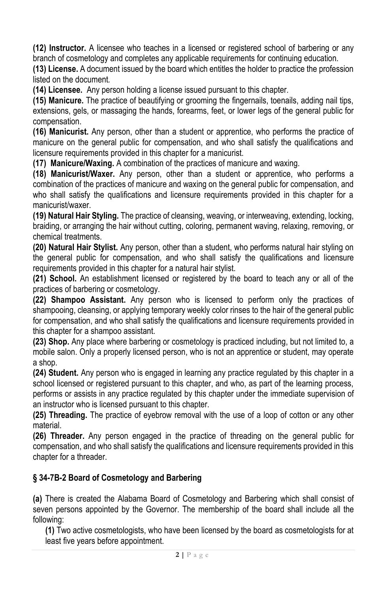**(12) Instructor.** A licensee who teaches in a licensed or registered school of barbering or any branch of cosmetology and completes any applicable requirements for continuing education.

**(13) License.** A document issued by the board which entitles the holder to practice the profession listed on the document*.*

**(14) Licensee.** Any person holding a license issued pursuant to this chapter*.* 

**(15) Manicure.** The practice of beautifying or grooming the fingernails, toenails, adding nail tips, extensions, gels, or massaging the hands, forearms, feet, or lower legs of the general public for compensation.

**(16) Manicurist.** Any person, other than a student or apprentice, who performs the practice of manicure on the general public for compensation, and who shall satisfy the qualifications and licensure requirements provided in this chapter for a manicurist.

**(17) Manicure/Waxing.** A combination of the practices of manicure and waxing.

**(18) Manicurist/Waxer.** Any person, other than a student or apprentice, who performs a combination of the practices of manicure and waxing on the general public for compensation, and who shall satisfy the qualifications and licensure requirements provided in this chapter for a manicurist/waxer.

**(19) Natural Hair Styling.** The practice of cleansing, weaving, or interweaving, extending, locking, braiding, or arranging the hair without cutting, coloring, permanent waving, relaxing, removing, or chemical treatments.

**(20) Natural Hair Stylist.** Any person, other than a student, who performs natural hair styling on the general public for compensation, and who shall satisfy the qualifications and licensure requirements provided in this chapter for a natural hair stylist.

**(21) School.** An establishment licensed or registered by the board to teach any or all of the practices of barbering or cosmetology.

**(22) Shampoo Assistant.** Any person who is licensed to perform only the practices of shampooing, cleansing, or applying temporary weekly color rinses to the hair of the general public for compensation, and who shall satisfy the qualifications and licensure requirements provided in this chapter for a shampoo assistant.

**(23) Shop.** Any place where barbering or cosmetology is practiced including, but not limited to, a mobile salon. Only a properly licensed person, who is not an apprentice or student, may operate a shop.

**(24) Student.** Any person who is engaged in learning any practice regulated by this chapter in a school licensed or registered pursuant to this chapter, and who, as part of the learning process, performs or assists in any practice regulated by this chapter under the immediate supervision of an instructor who is licensed pursuant to this chapter.

**(25) Threading.** The practice of eyebrow removal with the use of a loop of cotton or any other material.

**(26) Threader.** Any person engaged in the practice of threading on the general public for compensation, and who shall satisfy the qualifications and licensure requirements provided in this chapter for a threader.

## **§ 34-7B-2 Board of Cosmetology and Barbering**

**(a)** There is created the Alabama Board of Cosmetology and Barbering which shall consist of seven persons appointed by the Governor. The membership of the board shall include all the following:

**(1)** Two active cosmetologists, who have been licensed by the board as cosmetologists for at least five years before appointment.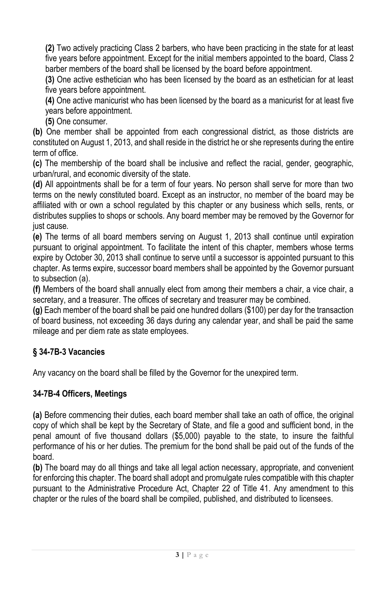**(2)** Two actively practicing Class 2 barbers, who have been practicing in the state for at least five years before appointment. Except for the initial members appointed to the board, Class 2 barber members of the board shall be licensed by the board before appointment.

**(3)** One active esthetician who has been licensed by the board as an esthetician for at least five years before appointment.

**(4)** One active manicurist who has been licensed by the board as a manicurist for at least five years before appointment.

**(5)** One consumer*.*

**(b)** One member shall be appointed from each congressional district, as those districts are constituted on August 1, 2013, and shall reside in the district he or she represents during the entire term of office.

**(c)** The membership of the board shall be inclusive and reflect the racial, gender, geographic, urban/rural, and economic diversity of the state.

**(d)** All appointments shall be for a term of four years. No person shall serve for more than two terms on the newly constituted board. Except as an instructor, no member of the board may be affiliated with or own a school regulated by this chapter or any business which sells, rents, or distributes supplies to shops or schools. Any board member may be removed by the Governor for just cause*.* 

**(e)** The terms of all board members serving on August 1, 2013 shall continue until expiration pursuant to original appointment. To facilitate the intent of this chapter, members whose terms expire by October 30, 2013 shall continue to serve until a successor is appointed pursuant to this chapter. As terms expire, successor board members shall be appointed by the Governor pursuant to subsection (a).

**(f)** Members of the board shall annually elect from among their members a chair, a vice chair, a secretary, and a treasurer. The offices of secretary and treasurer may be combined.

**(g)** Each member of the board shall be paid one hundred dollars (\$100) per day for the transaction of board business, not exceeding 36 days during any calendar year, and shall be paid the same mileage and per diem rate as state employees.

## **§ 34-7B-3 Vacancies**

Any vacancy on the board shall be filled by the Governor for the unexpired term.

## **34-7B-4 Officers, Meetings**

**(a)** Before commencing their duties, each board member shall take an oath of office, the original copy of which shall be kept by the Secretary of State, and file a good and sufficient bond, in the penal amount of five thousand dollars (\$5,000) payable to the state, to insure the faithful performance of his or her duties. The premium for the bond shall be paid out of the funds of the board.

**(b)** The board may do all things and take all legal action necessary, appropriate, and convenient for enforcing this chapter. The board shall adopt and promulgate rules compatible with this chapter pursuant to the Administrative Procedure Act, Chapter 22 of Title 41. Any amendment to this chapter or the rules of the board shall be compiled, published, and distributed to licensees.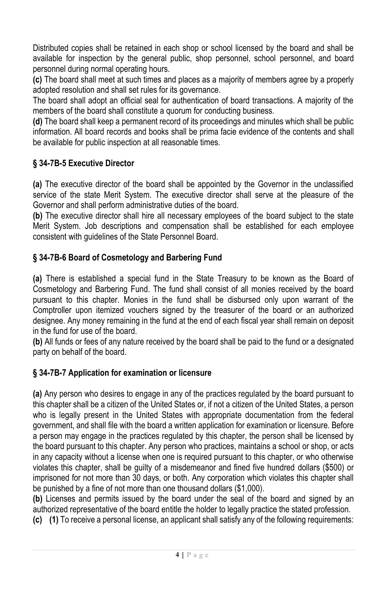Distributed copies shall be retained in each shop or school licensed by the board and shall be available for inspection by the general public, shop personnel, school personnel, and board personnel during normal operating hours.

**(c)** The board shall meet at such times and places as a majority of members agree by a properly adopted resolution and shall set rules for its governance.

The board shall adopt an official seal for authentication of board transactions. A majority of the members of the board shall constitute a quorum for conducting business.

**(d)** The board shall keep a permanent record of its proceedings and minutes which shall be public information. All board records and books shall be prima facie evidence of the contents and shall be available for public inspection at all reasonable times.

## **§ 34-7B-5 Executive Director**

**(a)** The executive director of the board shall be appointed by the Governor in the unclassified service of the state Merit System. The executive director shall serve at the pleasure of the Governor and shall perform administrative duties of the board.

**(b)** The executive director shall hire all necessary employees of the board subject to the state Merit System. Job descriptions and compensation shall be established for each employee consistent with guidelines of the State Personnel Board.

# **§ 34-7B-6 Board of Cosmetology and Barbering Fund**

**(a)** There is established a special fund in the State Treasury to be known as the Board of Cosmetology and Barbering Fund. The fund shall consist of all monies received by the board pursuant to this chapter. Monies in the fund shall be disbursed only upon warrant of the Comptroller upon itemized vouchers signed by the treasurer of the board or an authorized designee. Any money remaining in the fund at the end of each fiscal year shall remain on deposit in the fund for use of the board.

**(b)** All funds or fees of any nature received by the board shall be paid to the fund or a designated party on behalf of the board.

## **§ 34-7B-7 Application for examination or licensure**

**(a)** Any person who desires to engage in any of the practices regulated by the board pursuant to this chapter shall be a citizen of the United States or, if not a citizen of the United States, a person who is legally present in the United States with appropriate documentation from the federal government, and shall file with the board a written application for examination or licensure. Before a person may engage in the practices regulated by this chapter, the person shall be licensed by the board pursuant to this chapter. Any person who practices, maintains a school or shop, or acts in any capacity without a license when one is required pursuant to this chapter, or who otherwise violates this chapter, shall be guilty of a misdemeanor and fined five hundred dollars (\$500) or imprisoned for not more than 30 days, or both. Any corporation which violates this chapter shall be punished by a fine of not more than one thousand dollars (\$1,000).

**(b)** Licenses and permits issued by the board under the seal of the board and signed by an authorized representative of the board entitle the holder to legally practice the stated profession.

**(c) (1)** To receive a personal license, an applicant shall satisfy any of the following requirements: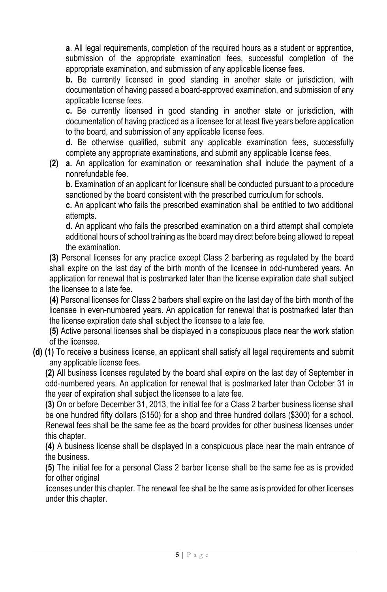**a**. All legal requirements, completion of the required hours as a student or apprentice, submission of the appropriate examination fees, successful completion of the appropriate examination, and submission of any applicable license fees.

**b.** Be currently licensed in good standing in another state or jurisdiction, with documentation of having passed a board-approved examination, and submission of any applicable license fees.

**c.** Be currently licensed in good standing in another state or jurisdiction, with documentation of having practiced as a licensee for at least five years before application to the board, and submission of any applicable license fees.

**d.** Be otherwise qualified, submit any applicable examination fees, successfully complete any appropriate examinations, and submit any applicable license fees.

**(2) a.** An application for examination or reexamination shall include the payment of a nonrefundable fee.

**b.** Examination of an applicant for licensure shall be conducted pursuant to a procedure sanctioned by the board consistent with the prescribed curriculum for schools*.*

**c.** An applicant who fails the prescribed examination shall be entitled to two additional attempts.

**d.** An applicant who fails the prescribed examination on a third attempt shall complete additional hours of school training as the board may direct before being allowed to repeat the examination.

**(3)** Personal licenses for any practice except Class 2 barbering as regulated by the board shall expire on the last day of the birth month of the licensee in odd-numbered years. An application for renewal that is postmarked later than the license expiration date shall subject the licensee to a late fee.

**(4)** Personal licenses for Class 2 barbers shall expire on the last day of the birth month of the licensee in even-numbered years. An application for renewal that is postmarked later than the license expiration date shall subject the licensee to a late fee.

**(5)** Active personal licenses shall be displayed in a conspicuous place near the work station of the licensee.

**(d) (1)** To receive a business license, an applicant shall satisfy all legal requirements and submit any applicable license fees.

**(2)** All business licenses regulated by the board shall expire on the last day of September in odd-numbered years. An application for renewal that is postmarked later than October 31 in the year of expiration shall subject the licensee to a late fee.

**(3)** On or before December 31, 2013, the initial fee for a Class 2 barber business license shall be one hundred fifty dollars (\$150) for a shop and three hundred dollars (\$300) for a school. Renewal fees shall be the same fee as the board provides for other business licenses under this chapter.

**(4)** A business license shall be displayed in a conspicuous place near the main entrance of the business.

**(5)** The initial fee for a personal Class 2 barber license shall be the same fee as is provided for other original

licenses under this chapter. The renewal fee shall be the same as is provided for other licenses under this chapter.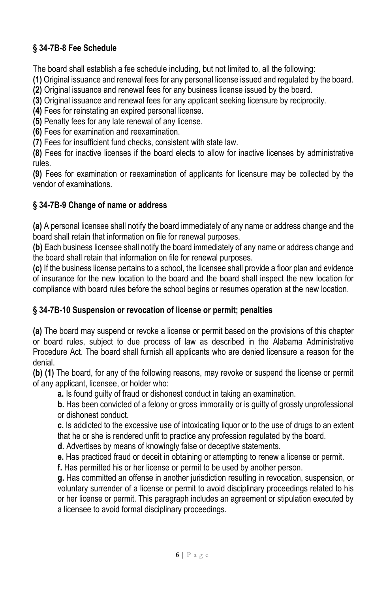# **§ 34-7B-8 Fee Schedule**

The board shall establish a fee schedule including, but not limited to, all the following:

**(1)** Original issuance and renewal fees for any personal license issued and regulated by the board.

**(2)** Original issuance and renewal fees for any business license issued by the board.

**(3)** Original issuance and renewal fees for any applicant seeking licensure by reciprocity.

**(4)** Fees for reinstating an expired personal license.

**(5)** Penalty fees for any late renewal of any license.

**(6)** Fees for examination and reexamination.

**(7)** Fees for insufficient fund checks, consistent with state law.

**(8)** Fees for inactive licenses if the board elects to allow for inactive licenses by administrative rules.

**(9)** Fees for examination or reexamination of applicants for licensure may be collected by the vendor of examinations.

## **§ 34-7B-9 Change of name or address**

**(a)** A personal licensee shall notify the board immediately of any name or address change and the board shall retain that information on file for renewal purposes.

**(b)** Each business licensee shall notify the board immediately of any name or address change and the board shall retain that information on file for renewal purposes.

**(c)** If the business license pertains to a school, the licensee shall provide a floor plan and evidence of insurance for the new location to the board and the board shall inspect the new location for compliance with board rules before the school begins or resumes operation at the new location.

## **§ 34-7B-10 Suspension or revocation of license or permit; penalties**

**(a)** The board may suspend or revoke a license or permit based on the provisions of this chapter or board rules, subject to due process of law as described in the Alabama Administrative Procedure Act. The board shall furnish all applicants who are denied licensure a reason for the denial.

**(b) (1)** The board, for any of the following reasons, may revoke or suspend the license or permit of any applicant, licensee, or holder who:

**a.** Is found guilty of fraud or dishonest conduct in taking an examination.

**b.** Has been convicted of a felony or gross immorality or is guilty of grossly unprofessional or dishonest conduct.

**c.** Is addicted to the excessive use of intoxicating liquor or to the use of drugs to an extent that he or she is rendered unfit to practice any profession regulated by the board.

**d.** Advertises by means of knowingly false or deceptive statements.

**e.** Has practiced fraud or deceit in obtaining or attempting to renew a license or permit.

**f.** Has permitted his or her license or permit to be used by another person.

**g.** Has committed an offense in another jurisdiction resulting in revocation, suspension, or voluntary surrender of a license or permit to avoid disciplinary proceedings related to his or her license or permit. This paragraph includes an agreement or stipulation executed by a licensee to avoid formal disciplinary proceedings.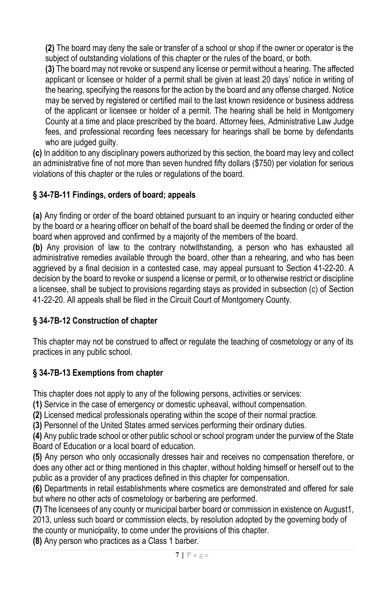**(2)** The board may deny the sale or transfer of a school or shop if the owner or operator is the subject of outstanding violations of this chapter or the rules of the board, or both.

**(3)** The board may not revoke or suspend any license or permit without a hearing. The affected applicant or licensee or holder of a permit shall be given at least 20 days' notice in writing of the hearing, specifying the reasons for the action by the board and any offense charged. Notice may be served by registered or certified mail to the last known residence or business address of the applicant or licensee or holder of a permit. The hearing shall be held in Montgomery County at a time and place prescribed by the board. Attorney fees, Administrative Law Judge fees, and professional recording fees necessary for hearings shall be borne by defendants who are judged guilty.

**(c)** In addition to any disciplinary powers authorized by this section, the board may levy and collect an administrative fine of not more than seven hundred fifty dollars (\$750) per violation for serious violations of this chapter or the rules or regulations of the board.

## **§ 34-7B-11 Findings, orders of board; appeals**

**(a)** Any finding or order of the board obtained pursuant to an inquiry or hearing conducted either by the board or a hearing officer on behalf of the board shall be deemed the finding or order of the board when approved and confirmed by a majority of the members of the board.

**(b)** Any provision of law to the contrary notwithstanding, a person who has exhausted all administrative remedies available through the board, other than a rehearing, and who has been aggrieved by a final decision in a contested case, may appeal pursuant to Section 41-22-20. A decision by the board to revoke or suspend a license or permit, or to otherwise restrict or discipline a licensee, shall be subject to provisions regarding stays as provided in subsection (c) of Section 41-22-20. All appeals shall be filed in the Circuit Court of Montgomery County.

## **§ 34-7B-12 Construction of chapter**

This chapter may not be construed to affect or regulate the teaching of cosmetology or any of its practices in any public school.

## **§ 34-7B-13 Exemptions from chapter**

This chapter does not apply to any of the following persons, activities or services:

**(1)** Service in the case of emergency or domestic upheaval, without compensation.

**(2)** Licensed medical professionals operating within the scope of their normal practice.

**(3)** Personnel of the United States armed services performing their ordinary duties.

**(4)** Any public trade school or other public school or school program under the purview of the State Board of Education or a local board of education.

**(5)** Any person who only occasionally dresses hair and receives no compensation therefore, or does any other act or thing mentioned in this chapter, without holding himself or herself out to the public as a provider of any practices defined in this chapter for compensation.

**(6)** Departments in retail establishments where cosmetics are demonstrated and offered for sale but where no other acts of cosmetology or barbering are performed.

**(7)** The licensees of any county or municipal barber board or commission in existence on August1,

2013, unless such board or commission elects, by resolution adopted by the governing body of the county or municipality, to come under the provisions of this chapter.

**(8)** Any person who practices as a Class 1 barber.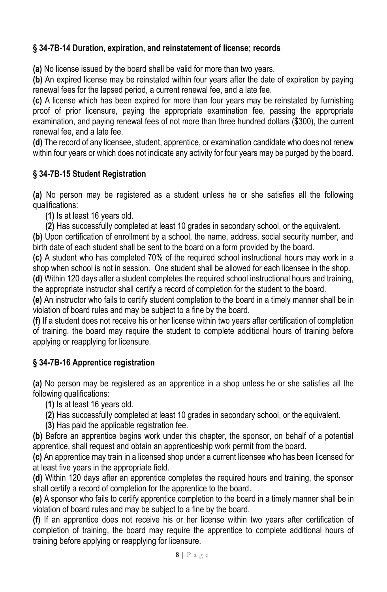# **§ 34-7B-14 Duration, expiration, and reinstatement of license; records**

**(a)** No license issued by the board shall be valid for more than two years.

**(b)** An expired license may be reinstated within four years after the date of expiration by paying renewal fees for the lapsed period, a current renewal fee, and a late fee.

**(c)** A license which has been expired for more than four years may be reinstated by furnishing proof of prior licensure, paying the appropriate examination fee, passing the appropriate examination, and paying renewal fees of not more than three hundred dollars (\$300), the current renewal fee, and a late fee.

**(d)** The record of any licensee, student, apprentice, or examination candidate who does not renew within four years or which does not indicate any activity for four years may be purged by the board.

# **§ 34-7B-15 Student Registration**

**(a)** No person may be registered as a student unless he or she satisfies all the following qualifications:

**(1)** Is at least 16 years old.

**(2)** Has successfully completed at least 10 grades in secondary school, or the equivalent.

**(b)** Upon certification of enrollment by a school, the name, address, social security number, and birth date of each student shall be sent to the board on a form provided by the board.

**(c)** A student who has completed 70% of the required school instructional hours may work in a shop when school is not in session. One student shall be allowed for each licensee in the shop.

**(d)** Within 120 days after a student completes the required school instructional hours and training, the appropriate instructor shall certify a record of completion for the student to the board.

**(e)** An instructor who fails to certify student completion to the board in a timely manner shall be in violation of board rules and may be subject to a fine by the board.

**(f)** If a student does not receive his or her license within two years after certification of completion of training, the board may require the student to complete additional hours of training before applying or reapplying for licensure.

# **§ 34-7B-16 Apprentice registration**

**(a)** No person may be registered as an apprentice in a shop unless he or she satisfies all the following qualifications:

**(1)** Is at least 16 years old.

**(2)** Has successfully completed at least 10 grades in secondary school, or the equivalent.

**(3)** Has paid the applicable registration fee.

**(b)** Before an apprentice begins work under this chapter, the sponsor, on behalf of a potential apprentice, shall request and obtain an apprenticeship work permit from the board.

**(c)** An apprentice may train in a licensed shop under a current licensee who has been licensed for at least five years in the appropriate field.

**(d)** Within 120 days after an apprentice completes the required hours and training, the sponsor shall certify a record of completion for the apprentice to the board.

**(e)** A sponsor who fails to certify apprentice completion to the board in a timely manner shall be in violation of board rules and may be subject to a fine by the board.

**(f)** If an apprentice does not receive his or her license within two years after certification of completion of training, the board may require the apprentice to complete additional hours of training before applying or reapplying for licensure.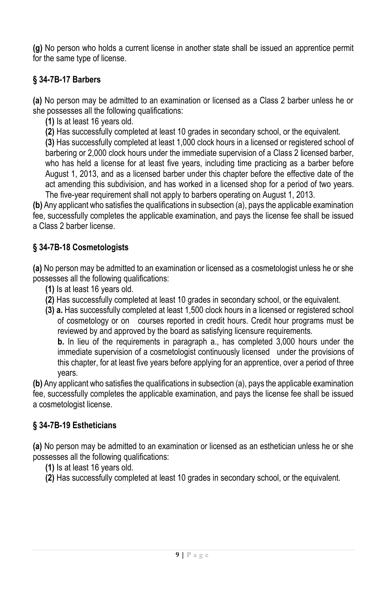**(g)** No person who holds a current license in another state shall be issued an apprentice permit for the same type of license.

# **§ 34-7B-17 Barbers**

**(a)** No person may be admitted to an examination or licensed as a Class 2 barber unless he or she possesses all the following qualifications:

**(1)** Is at least 16 years old.

**(2)** Has successfully completed at least 10 grades in secondary school, or the equivalent.

**(3)** Has successfully completed at least 1,000 clock hours in a licensed or registered school of barbering or 2,000 clock hours under the immediate supervision of a Class 2 licensed barber, who has held a license for at least five years, including time practicing as a barber before August 1, 2013, and as a licensed barber under this chapter before the effective date of the act amending this subdivision, and has worked in a licensed shop for a period of two years. The five-year requirement shall not apply to barbers operating on August 1, 2013.

**(b)** Any applicant who satisfies the qualifications in subsection (a), pays the applicable examination fee, successfully completes the applicable examination, and pays the license fee shall be issued a Class 2 barber license.

#### **§ 34-7B-18 Cosmetologists**

**(a)** No person may be admitted to an examination or licensed as a cosmetologist unless he or she possesses all the following qualifications:

- **(1)** Is at least 16 years old.
- **(2)** Has successfully completed at least 10 grades in secondary school, or the equivalent.
- **(3) a.** Has successfully completed at least 1,500 clock hours in a licensed or registered school of cosmetology or on courses reported in credit hours. Credit hour programs must be reviewed by and approved by the board as satisfying licensure requirements.

**b.** In lieu of the requirements in paragraph a., has completed 3,000 hours under the immediate supervision of a cosmetologist continuously licensed under the provisions of this chapter, for at least five years before applying for an apprentice, over a period of three years.

**(b)** Any applicant who satisfies the qualifications in subsection (a), pays the applicable examination fee, successfully completes the applicable examination, and pays the license fee shall be issued a cosmetologist license.

## **§ 34-7B-19 Estheticians**

**(a)** No person may be admitted to an examination or licensed as an esthetician unless he or she possesses all the following qualifications:

- **(1)** Is at least 16 years old.
- **(2)** Has successfully completed at least 10 grades in secondary school, or the equivalent.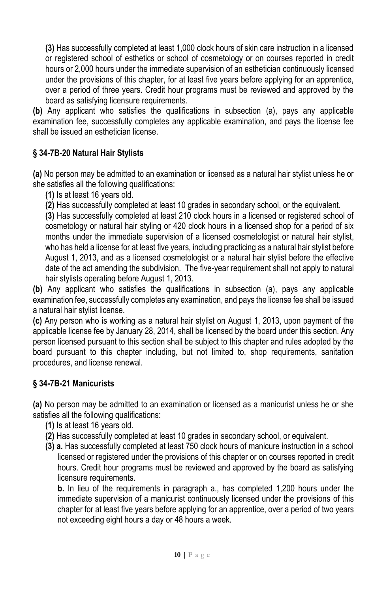**(3)** Has successfully completed at least 1,000 clock hours of skin care instruction in a licensed or registered school of esthetics or school of cosmetology or on courses reported in credit hours or 2,000 hours under the immediate supervision of an esthetician continuously licensed under the provisions of this chapter, for at least five years before applying for an apprentice, over a period of three years. Credit hour programs must be reviewed and approved by the board as satisfying licensure requirements.

**(b)** Any applicant who satisfies the qualifications in subsection (a), pays any applicable examination fee, successfully completes any applicable examination, and pays the license fee shall be issued an esthetician license.

# **§ 34-7B-20 Natural Hair Stylists**

**(a)** No person may be admitted to an examination or licensed as a natural hair stylist unless he or she satisfies all the following qualifications:

**(1)** Is at least 16 years old.

**(2)** Has successfully completed at least 10 grades in secondary school, or the equivalent.

**(3)** Has successfully completed at least 210 clock hours in a licensed or registered school of cosmetology or natural hair styling or 420 clock hours in a licensed shop for a period of six months under the immediate supervision of a licensed cosmetologist or natural hair stylist, who has held a license for at least five years, including practicing as a natural hair stylist before August 1, 2013, and as a licensed cosmetologist or a natural hair stylist before the effective date of the act amending the subdivision. The five-year requirement shall not apply to natural hair stylists operating before August 1, 2013.

**(b)** Any applicant who satisfies the qualifications in subsection (a), pays any applicable examination fee, successfully completes any examination, and pays the license fee shall be issued a natural hair stylist license.

**(c)** Any person who is working as a natural hair stylist on August 1, 2013, upon payment of the applicable license fee by January 28, 2014, shall be licensed by the board under this section. Any person licensed pursuant to this section shall be subject to this chapter and rules adopted by the board pursuant to this chapter including, but not limited to, shop requirements, sanitation procedures, and license renewal.

## **§ 34-7B-21 Manicurists**

**(a)** No person may be admitted to an examination or licensed as a manicurist unless he or she satisfies all the following qualifications:

- **(1)** Is at least 16 years old.
- **(2)** Has successfully completed at least 10 grades in secondary school, or equivalent.
- **(3) a.** Has successfully completed at least 750 clock hours of manicure instruction in a school licensed or registered under the provisions of this chapter or on courses reported in credit hours. Credit hour programs must be reviewed and approved by the board as satisfying licensure requirements.

**b.** In lieu of the requirements in paragraph a., has completed 1,200 hours under the immediate supervision of a manicurist continuously licensed under the provisions of this chapter for at least five years before applying for an apprentice, over a period of two years not exceeding eight hours a day or 48 hours a week.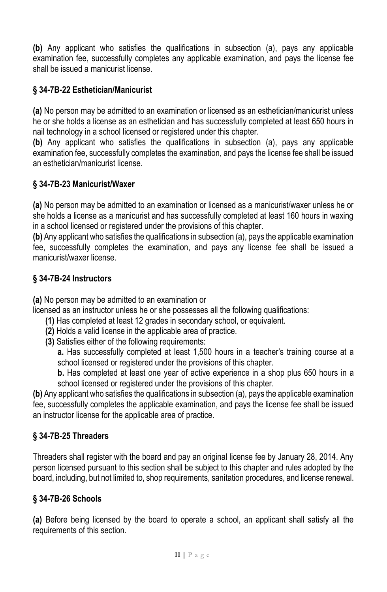**(b)** Any applicant who satisfies the qualifications in subsection (a), pays any applicable examination fee, successfully completes any applicable examination, and pays the license fee shall be issued a manicurist license.

# **§ 34-7B-22 Esthetician/Manicurist**

**(a)** No person may be admitted to an examination or licensed as an esthetician/manicurist unless he or she holds a license as an esthetician and has successfully completed at least 650 hours in nail technology in a school licensed or registered under this chapter.

**(b)** Any applicant who satisfies the qualifications in subsection (a), pays any applicable examination fee, successfully completes the examination, and pays the license fee shall be issued an esthetician/manicurist license.

# **§ 34-7B-23 Manicurist/Waxer**

**(a)** No person may be admitted to an examination or licensed as a manicurist/waxer unless he or she holds a license as a manicurist and has successfully completed at least 160 hours in waxing in a school licensed or registered under the provisions of this chapter.

**(b)** Any applicant who satisfies the qualifications in subsection (a), pays the applicable examination fee, successfully completes the examination, and pays any license fee shall be issued a manicurist/waxer license.

## **§ 34-7B-24 Instructors**

**(a)** No person may be admitted to an examination or

licensed as an instructor unless he or she possesses all the following qualifications:

- **(1)** Has completed at least 12 grades in secondary school, or equivalent.
- **(2)** Holds a valid license in the applicable area of practice.
- **(3)** Satisfies either of the following requirements:

**a.** Has successfully completed at least 1,500 hours in a teacher's training course at a school licensed or registered under the provisions of this chapter.

**b.** Has completed at least one year of active experience in a shop plus 650 hours in a school licensed or registered under the provisions of this chapter.

**(b)** Any applicant who satisfies the qualifications in subsection (a), pays the applicable examination fee, successfully completes the applicable examination, and pays the license fee shall be issued an instructor license for the applicable area of practice.

# **§ 34-7B-25 Threaders**

Threaders shall register with the board and pay an original license fee by January 28, 2014. Any person licensed pursuant to this section shall be subject to this chapter and rules adopted by the board, including, but not limited to, shop requirements, sanitation procedures, and license renewal.

# **§ 34-7B-26 Schools**

**(a)** Before being licensed by the board to operate a school, an applicant shall satisfy all the requirements of this section.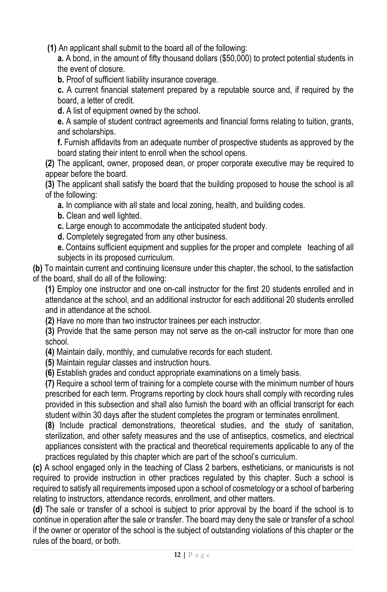**(1)** An applicant shall submit to the board all of the following:

**a.** A bond, in the amount of fifty thousand dollars (\$50,000) to protect potential students in the event of closure.

**b.** Proof of sufficient liability insurance coverage.

**c.** A current financial statement prepared by a reputable source and, if required by the board, a letter of credit.

**d.** A list of equipment owned by the school.

**e.** A sample of student contract agreements and financial forms relating to tuition, grants, and scholarships.

**f.** Furnish affidavits from an adequate number of prospective students as approved by the board stating their intent to enroll when the school opens.

**(2)** The applicant, owner, proposed dean, or proper corporate executive may be required to appear before the board.

**(3)** The applicant shall satisfy the board that the building proposed to house the school is all of the following:

**a.** In compliance with all state and local zoning, health, and building codes.

**b.** Clean and well lighted.

**c.** Large enough to accommodate the anticipated student body.

**d.** Completely segregated from any other business.

**e.** Contains sufficient equipment and supplies for the proper and complete teaching of all subjects in its proposed curriculum.

**(b)** To maintain current and continuing licensure under this chapter, the school, to the satisfaction of the board, shall do all of the following:

**(1)** Employ one instructor and one on-call instructor for the first 20 students enrolled and in attendance at the school, and an additional instructor for each additional 20 students enrolled and in attendance at the school.

**(2)** Have no more than two instructor trainees per each instructor.

**(3)** Provide that the same person may not serve as the on-call instructor for more than one school.

**(4)** Maintain daily, monthly, and cumulative records for each student.

**(5)** Maintain regular classes and instruction hours.

**(6)** Establish grades and conduct appropriate examinations on a timely basis.

**(7)** Require a school term of training for a complete course with the minimum number of hours prescribed for each term. Programs reporting by clock hours shall comply with recording rules provided in this subsection and shall also furnish the board with an official transcript for each student within 30 days after the student completes the program or terminates enrollment*.*

**(8)** Include practical demonstrations, theoretical studies, and the study of sanitation, sterilization, and other safety measures and the use of antiseptics, cosmetics, and electrical appliances consistent with the practical and theoretical requirements applicable to any of the practices regulated by this chapter which are part of the school's curriculum.

**(c)** A school engaged only in the teaching of Class 2 barbers, estheticians, or manicurists is not required to provide instruction in other practices regulated by this chapter. Such a school is required to satisfy all requirements imposed upon a school of cosmetology or a school of barbering relating to instructors, attendance records, enrollment, and other matters.

**(d)** The sale or transfer of a school is subject to prior approval by the board if the school is to continue in operation after the sale or transfer. The board may deny the sale or transfer of a school if the owner or operator of the school is the subject of outstanding violations of this chapter or the rules of the board, or both.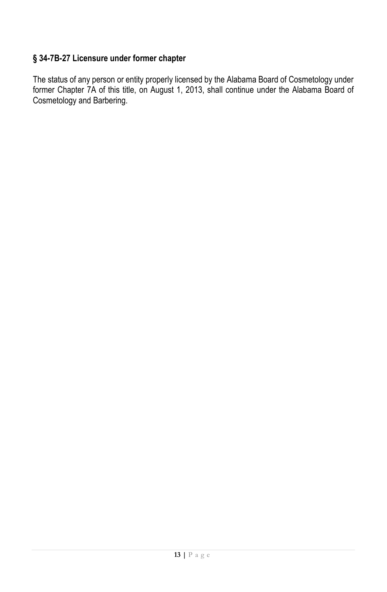# **§ 34-7B-27 Licensure under former chapter**

The status of any person or entity properly licensed by the Alabama Board of Cosmetology under former Chapter 7A of this title, on August 1, 2013, shall continue under the Alabama Board of Cosmetology and Barbering.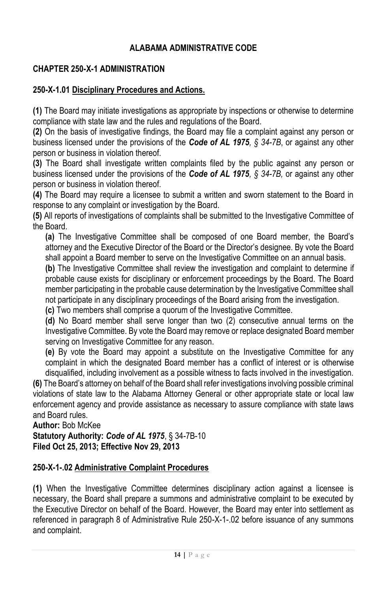#### **ALABAMA ADMINISTRATIVE CODE**

#### **CHAPTER 250-X-1 ADMINISTRATION**

#### **250-X-1.01 Disciplinary Procedures and Actions.**

**(1)** The Board may initiate investigations as appropriate by inspections or otherwise to determine compliance with state law and the rules and regulations of the Board.

**(2)** On the basis of investigative findings, the Board may file a complaint against any person or business licensed under the provisions of the *Code of AL 1975, § 34-7B*, or against any other person or business in violation thereof.

**(3)** The Board shall investigate written complaints filed by the public against any person or business licensed under the provisions of the *Code of AL 1975, § 34-7B,* or against any other person or business in violation thereof.

**(4)** The Board may require a licensee to submit a written and sworn statement to the Board in response to any complaint or investigation by the Board.

**(5)** All reports of investigations of complaints shall be submitted to the Investigative Committee of the Board.

**(a)** The Investigative Committee shall be composed of one Board member, the Board's attorney and the Executive Director of the Board or the Director's designee. By vote the Board shall appoint a Board member to serve on the Investigative Committee on an annual basis.

**(b)** The Investigative Committee shall review the investigation and complaint to determine if probable cause exists for disciplinary or enforcement proceedings by the Board. The Board member participating in the probable cause determination by the Investigative Committee shall not participate in any disciplinary proceedings of the Board arising from the investigation.

**(c)** Two members shall comprise a quorum of the Investigative Committee.

**(d)** No Board member shall serve longer than two (2) consecutive annual terms on the Investigative Committee. By vote the Board may remove or replace designated Board member serving on Investigative Committee for any reason.

**(e)** By vote the Board may appoint a substitute on the Investigative Committee for any complaint in which the designated Board member has a conflict of interest or is otherwise disqualified, including involvement as a possible witness to facts involved in the investigation.

**(6)** The Board's attorney on behalf of the Board shall refer investigations involving possible criminal violations of state law to the Alabama Attorney General or other appropriate state or local law enforcement agency and provide assistance as necessary to assure compliance with state laws and Board rules.

**Author:** Bob McKee

**Statutory Authority:** *Code of AL 1975*, § 34-7B-10 **Filed Oct 25, 2013; Effective Nov 29, 2013**

#### **250-X-1-.02 Administrative Complaint Procedures**

**(1)** When the Investigative Committee determines disciplinary action against a licensee is necessary, the Board shall prepare a summons and administrative complaint to be executed by the Executive Director on behalf of the Board. However, the Board may enter into settlement as referenced in paragraph 8 of Administrative Rule 250-X-1-.02 before issuance of any summons and complaint.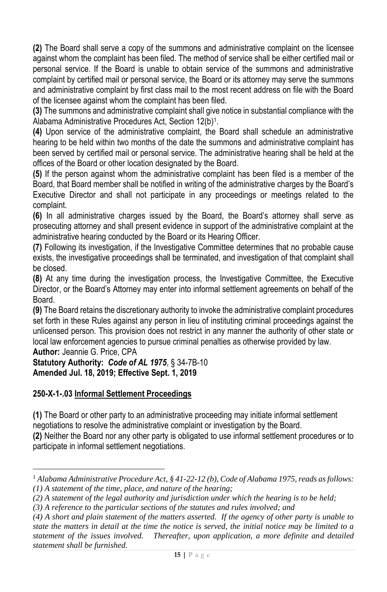**(2)** The Board shall serve a copy of the summons and administrative complaint on the licensee against whom the complaint has been filed. The method of service shall be either certified mail or personal service. If the Board is unable to obtain service of the summons and administrative complaint by certified mail or personal service, the Board or its attorney may serve the summons and administrative complaint by first class mail to the most recent address on file with the Board of the licensee against whom the complaint has been filed.

**(3)** The summons and administrative complaint shall give notice in substantial compliance with the Alabama Administrative Procedures Act, Section 12(b)<sup>1</sup> .

**(4)** Upon service of the administrative complaint, the Board shall schedule an administrative hearing to be held within two months of the date the summons and administrative complaint has been served by certified mail or personal service. The administrative hearing shall be held at the offices of the Board or other location designated by the Board.

**(5)** If the person against whom the administrative complaint has been filed is a member of the Board, that Board member shall be notified in writing of the administrative charges by the Board's Executive Director and shall not participate in any proceedings or meetings related to the complaint.

**(6)** In all administrative charges issued by the Board, the Board's attorney shall serve as prosecuting attorney and shall present evidence in support of the administrative complaint at the administrative hearing conducted by the Board or its Hearing Officer.

**(7)** Following its investigation, if the Investigative Committee determines that no probable cause exists, the investigative proceedings shall be terminated, and investigation of that complaint shall be closed.

**(8)** At any time during the investigation process, the Investigative Committee, the Executive Director, or the Board's Attorney may enter into informal settlement agreements on behalf of the Board.

**(9)** The Board retains the discretionary authority to invoke the administrative complaint procedures set forth in these Rules against any person in lieu of instituting criminal proceedings against the unlicensed person. This provision does not restrict in any manner the authority of other state or local law enforcement agencies to pursue criminal penalties as otherwise provided by law. **Author:** Jeannie G. Price, CPA

**Statutory Authority:** *Code of AL 1975*, § 34-7B-10 **Amended Jul. 18, 2019; Effective Sept. 1, 2019**

## **250-X-1-.03 Informal Settlement Proceedings**

**(1)** The Board or other party to an administrative proceeding may initiate informal settlement negotiations to resolve the administrative complaint or investigation by the Board.

**(2)** Neither the Board nor any other party is obligated to use informal settlement procedures or to participate in informal settlement negotiations.

<sup>1</sup> *Alabama Administrative Procedure Act, § 41-22-12 (b), Code of Alabama 1975, reads as follows: (1) A statement of the time, place, and nature of the hearing;*

*<sup>(2)</sup> A statement of the legal authority and jurisdiction under which the hearing is to be held;*

*<sup>(3)</sup> A reference to the particular sections of the statutes and rules involved; and* 

*<sup>(4)</sup> A short and plain statement of the matters asserted. If the agency of other party is unable to state the matters in detail at the time the notice is served, the initial notice may be limited to a statement of the issues involved. Thereafter, upon application, a more definite and detailed statement shall be furnished.*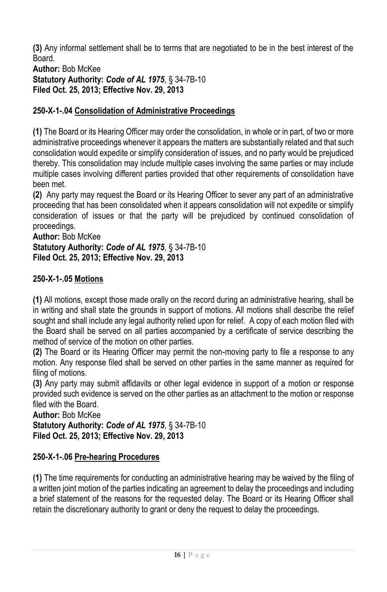**(3)** Any informal settlement shall be to terms that are negotiated to be in the best interest of the Board. **Author:** Bob McKee

**Statutory Authority:** *Code of AL 1975*, § 34-7B-10 **Filed Oct. 25, 2013; Effective Nov. 29, 2013**

# **250-X-1-.04 Consolidation of Administrative Proceedings**

**(1)** The Board or its Hearing Officer may order the consolidation, in whole or in part, of two or more administrative proceedings whenever it appears the matters are substantially related and that such consolidation would expedite or simplify consideration of issues, and no party would be prejudiced thereby. This consolidation may include multiple cases involving the same parties or may include multiple cases involving different parties provided that other requirements of consolidation have been met.

**(2)** Any party may request the Board or its Hearing Officer to sever any part of an administrative proceeding that has been consolidated when it appears consolidation will not expedite or simplify consideration of issues or that the party will be prejudiced by continued consolidation of proceedings.

**Author:** Bob McKee **Statutory Authority:** *Code of AL 1975,* § 34-7B-10 **Filed Oct. 25, 2013; Effective Nov. 29, 2013**

#### **250-X-1-.05 Motions**

**(1)** All motions, except those made orally on the record during an administrative hearing, shall be in writing and shall state the grounds in support of motions. All motions shall describe the relief sought and shall include any legal authority relied upon for relief. A copy of each motion filed with the Board shall be served on all parties accompanied by a certificate of service describing the method of service of the motion on other parties.

**(2)** The Board or its Hearing Officer may permit the non-moving party to file a response to any motion. Any response filed shall be served on other parties in the same manner as required for filing of motions.

**(3)** Any party may submit affidavits or other legal evidence in support of a motion or response provided such evidence is served on the other parties as an attachment to the motion or response filed with the Board.

**Author:** Bob McKee **Statutory Authority:** *Code of AL 1975,* § 34-7B-10 **Filed Oct. 25, 2013; Effective Nov. 29, 2013**

#### **250-X-1-.06 Pre-hearing Procedures**

**(1)** The time requirements for conducting an administrative hearing may be waived by the filing of a written joint motion of the parties indicating an agreement to delay the proceedings and including a brief statement of the reasons for the requested delay. The Board or its Hearing Officer shall retain the discretionary authority to grant or deny the request to delay the proceedings.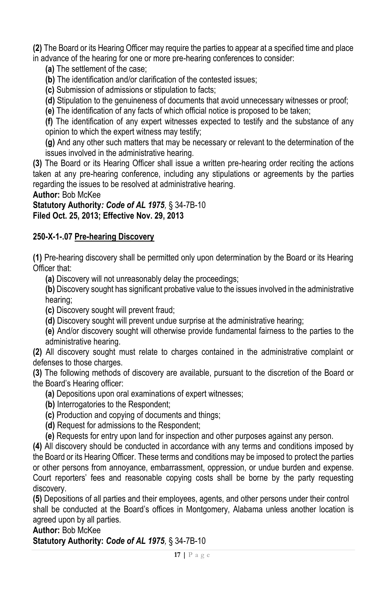**(2)** The Board or its Hearing Officer may require the parties to appear at a specified time and place in advance of the hearing for one or more pre-hearing conferences to consider:

**(a)** The settlement of the case;

**(b)** The identification and/or clarification of the contested issues;

**(c)** Submission of admissions or stipulation to facts;

**(d)** Stipulation to the genuineness of documents that avoid unnecessary witnesses or proof;

**(e)** The identification of any facts of which official notice is proposed to be taken;

**(f)** The identification of any expert witnesses expected to testify and the substance of any opinion to which the expert witness may testify;

**(g)** And any other such matters that may be necessary or relevant to the determination of the issues involved in the administrative hearing.

**(3)** The Board or its Hearing Officer shall issue a written pre-hearing order reciting the actions taken at any pre-hearing conference, including any stipulations or agreements by the parties regarding the issues to be resolved at administrative hearing.

**Author:** Bob McKee

**Statutory Authority***: Code of AL 1975,* § 34-7B-10 **Filed Oct. 25, 2013; Effective Nov. 29, 2013** 

#### **250-X-1-.07 Pre-hearing Discovery**

**(1)** Pre-hearing discovery shall be permitted only upon determination by the Board or its Hearing Officer that:

**(a)** Discovery will not unreasonably delay the proceedings;

**(b)** Discovery sought has significant probative value to the issues involved in the administrative hearing;

**(c)** Discovery sought will prevent fraud;

**(d)** Discovery sought will prevent undue surprise at the administrative hearing;

**(e)** And/or discovery sought will otherwise provide fundamental fairness to the parties to the administrative hearing.

**(2)** All discovery sought must relate to charges contained in the administrative complaint or defenses to those charges.

**(3)** The following methods of discovery are available, pursuant to the discretion of the Board or the Board's Hearing officer:

- **(a)** Depositions upon oral examinations of expert witnesses;
- **(b)** Interrogatories to the Respondent;

**(c)** Production and copying of documents and things;

- **(d)** Request for admissions to the Respondent;
- **(e)** Requests for entry upon land for inspection and other purposes against any person.

**(4)** All discovery should be conducted in accordance with any terms and conditions imposed by the Board or its Hearing Officer. These terms and conditions may be imposed to protect the parties or other persons from annoyance, embarrassment, oppression, or undue burden and expense. Court reporters' fees and reasonable copying costs shall be borne by the party requesting discovery.

**(5)** Depositions of all parties and their employees, agents, and other persons under their control shall be conducted at the Board's offices in Montgomery, Alabama unless another location is agreed upon by all parties.

**Author:** Bob McKee

**Statutory Authority:** *Code of AL 1975,* § 34-7B-10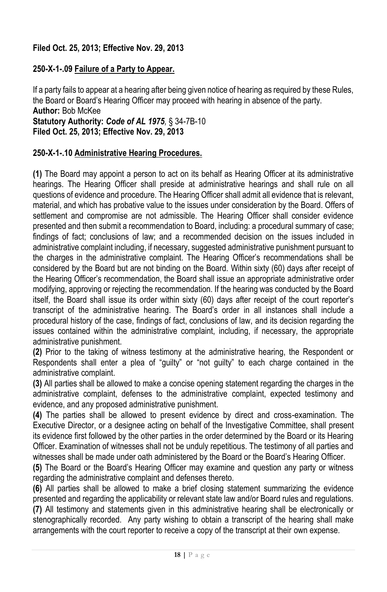# **Filed Oct. 25, 2013; Effective Nov. 29, 2013**

#### **250-X-1-.09 Failure of a Party to Appear.**

If a party fails to appear at a hearing after being given notice of hearing as required by these Rules, the Board or Board's Hearing Officer may proceed with hearing in absence of the party. **Author:** Bob McKee

**Statutory Authority:** *Code of AL 1975,* § 34-7B-10 **Filed Oct. 25, 2013; Effective Nov. 29, 2013** 

#### **250-X-1-.10 Administrative Hearing Procedures.**

**(1)** The Board may appoint a person to act on its behalf as Hearing Officer at its administrative hearings. The Hearing Officer shall preside at administrative hearings and shall rule on all questions of evidence and procedure. The Hearing Officer shall admit all evidence that is relevant, material, and which has probative value to the issues under consideration by the Board. Offers of settlement and compromise are not admissible. The Hearing Officer shall consider evidence presented and then submit a recommendation to Board, including: a procedural summary of case; findings of fact; conclusions of law; and a recommended decision on the issues included in administrative complaint including, if necessary, suggested administrative punishment pursuant to the charges in the administrative complaint. The Hearing Officer's recommendations shall be considered by the Board but are not binding on the Board. Within sixty (60) days after receipt of the Hearing Officer's recommendation, the Board shall issue an appropriate administrative order modifying, approving or rejecting the recommendation. If the hearing was conducted by the Board itself, the Board shall issue its order within sixty (60) days after receipt of the court reporter's transcript of the administrative hearing. The Board's order in all instances shall include a procedural history of the case, findings of fact, conclusions of law, and its decision regarding the issues contained within the administrative complaint, including, if necessary, the appropriate administrative punishment.

**(2)** Prior to the taking of witness testimony at the administrative hearing, the Respondent or Respondents shall enter a plea of "guilty" or "not guilty" to each charge contained in the administrative complaint.

**(3)** All parties shall be allowed to make a concise opening statement regarding the charges in the administrative complaint, defenses to the administrative complaint, expected testimony and evidence, and any proposed administrative punishment.

**(4)** The parties shall be allowed to present evidence by direct and cross-examination. The Executive Director, or a designee acting on behalf of the Investigative Committee, shall present its evidence first followed by the other parties in the order determined by the Board or its Hearing Officer. Examination of witnesses shall not be unduly repetitious. The testimony of all parties and witnesses shall be made under oath administered by the Board or the Board's Hearing Officer.

**(5)** The Board or the Board's Hearing Officer may examine and question any party or witness regarding the administrative complaint and defenses thereto.

**(6)** All parties shall be allowed to make a brief closing statement summarizing the evidence presented and regarding the applicability or relevant state law and/or Board rules and regulations.

**(7)** All testimony and statements given in this administrative hearing shall be electronically or stenographically recorded. Any party wishing to obtain a transcript of the hearing shall make arrangements with the court reporter to receive a copy of the transcript at their own expense.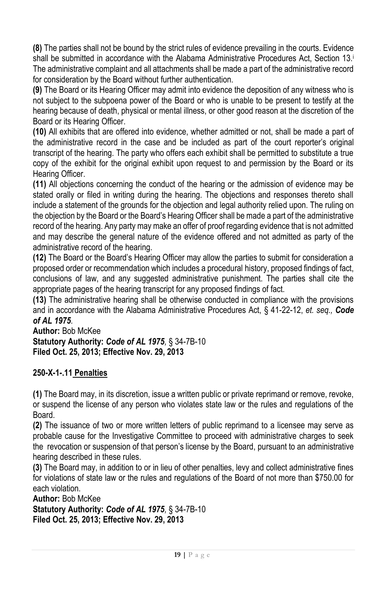**(8)** The parties shall not be bound by the strict rules of evidence prevailing in the courts. Evidence shall be submitted in accordance with the Alabama Administrative Procedures Act, Section 13.<sup>i</sup> The administrative complaint and all attachments shall be made a part of the administrative record for consideration by the Board without further authentication.

**(9)** The Board or its Hearing Officer may admit into evidence the deposition of any witness who is not subject to the subpoena power of the Board or who is unable to be present to testify at the hearing because of death, physical or mental illness, or other good reason at the discretion of the Board or its Hearing Officer.

**(10)** All exhibits that are offered into evidence, whether admitted or not, shall be made a part of the administrative record in the case and be included as part of the court reporter's original transcript of the hearing. The party who offers each exhibit shall be permitted to substitute a true copy of the exhibit for the original exhibit upon request to and permission by the Board or its Hearing Officer.

**(11)** All objections concerning the conduct of the hearing or the admission of evidence may be stated orally or filed in writing during the hearing. The objections and responses thereto shall include a statement of the grounds for the objection and legal authority relied upon. The ruling on the objection by the Board or the Board's Hearing Officer shall be made a part of the administrative record of the hearing. Any party may make an offer of proof regarding evidence that is not admitted and may describe the general nature of the evidence offered and not admitted as party of the administrative record of the hearing.

**(12)** The Board or the Board's Hearing Officer may allow the parties to submit for consideration a proposed order or recommendation which includes a procedural history, proposed findings of fact, conclusions of law, and any suggested administrative punishment. The parties shall cite the appropriate pages of the hearing transcript for any proposed findings of fact.

**(13)** The administrative hearing shall be otherwise conducted in compliance with the provisions and in accordance with the Alabama Administrative Procedures Act, § 41-22-12, *et. seq., Code of AL 1975.* 

**Author:** Bob McKee **Statutory Authority:** *Code of AL 1975,* § 34-7B-10 **Filed Oct. 25, 2013; Effective Nov. 29, 2013**

## **250-X-1-.11 Penalties**

**(1)** The Board may, in its discretion, issue a written public or private reprimand or remove, revoke, or suspend the license of any person who violates state law or the rules and regulations of the Board.

**(2)** The issuance of two or more written letters of public reprimand to a licensee may serve as probable cause for the Investigative Committee to proceed with administrative charges to seek the revocation or suspension of that person's license by the Board, pursuant to an administrative hearing described in these rules.

**(3)** The Board may, in addition to or in lieu of other penalties, levy and collect administrative fines for violations of state law or the rules and regulations of the Board of not more than \$750.00 for each violation.

**Author:** Bob McKee **Statutory Authority:** *Code of AL 1975,* § 34-7B-10 **Filed Oct. 25, 2013; Effective Nov. 29, 2013**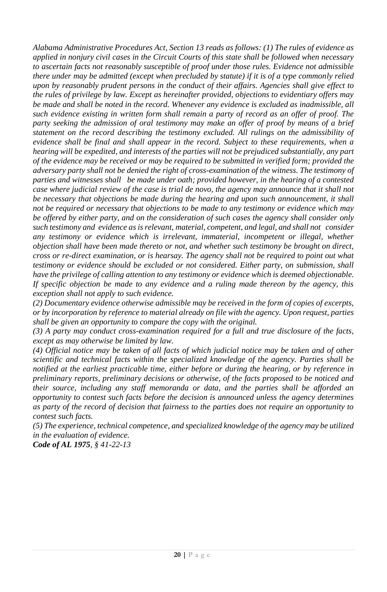*Alabama Administrative Procedures Act, Section 13 reads as follows: (1) The rules of evidence as applied in nonjury civil cases in the Circuit Courts of this state shall be followed when necessary to ascertain facts not reasonably susceptible of proof under those rules. Evidence not admissible there under may be admitted (except when precluded by statute) if it is of a type commonly relied upon by reasonably prudent persons in the conduct of their affairs. Agencies shall give effect to the rules of privilege by law. Except as hereinafter provided, objections to evidentiary offers may be made and shall be noted in the record. Whenever any evidence is excluded as inadmissible, all such evidence existing in written form shall remain a party of record as an offer of proof. The*  party seeking the admission of oral testimony may make an offer of proof by means of a brief *statement on the record describing the testimony excluded. All rulings on the admissibility of evidence shall be final and shall appear in the record. Subject to these requirements, when a hearing will be expedited, and interests of the parties will not be prejudiced substantially, any part of the evidence may be received or may be required to be submitted in verified form; provided the adversary party shall not be denied the right of cross-examination of the witness. The testimony of parties and witnesses shall be made under oath; provided however, in the hearing of a contested case where judicial review of the case is trial de novo, the agency may announce that it shall not be necessary that objections be made during the hearing and upon such announcement, it shall not be required or necessary that objections to be made to any testimony or evidence which may be offered by either party, and on the consideration of such cases the agency shall consider only such testimony and evidence as is relevant, material, competent, and legal, and shall not consider any testimony or evidence which is irrelevant, immaterial, incompetent or illegal, whether objection shall have been made thereto or not, and whether such testimony be brought on direct, cross or re-direct examination, or is hearsay. The agency shall not be required to point out what testimony or evidence should be excluded or not considered. Either party, on submission, shall have the privilege of calling attention to any testimony or evidence which is deemed objectionable. If specific objection be made to any evidence and a ruling made thereon by the agency, this exception shall not apply to such evidence.* 

*(2) Documentary evidence otherwise admissible may be received in the form of copies of excerpts, or by incorporation by reference to material already on file with the agency. Upon request, parties shall be given an opportunity to compare the copy with the original.* 

*(3) A party may conduct cross-examination required for a full and true disclosure of the facts, except as may otherwise be limited by law.*

*(4) Official notice may be taken of all facts of which judicial notice may be taken and of other scientific and technical facts within the specialized knowledge of the agency. Parties shall be notified at the earliest practicable time, either before or during the hearing, or by reference in preliminary reports, preliminary decisions or otherwise, of the facts proposed to be noticed and their source, including any staff memoranda or data, and the parties shall be afforded an opportunity to contest such facts before the decision is announced unless the agency determines as party of the record of decision that fairness to the parties does not require an opportunity to contest such facts.* 

*(5) The experience, technical competence, and specialized knowledge of the agency may be utilized in the evaluation of evidence.* 

*Code of AL 1975, § 41-22-13*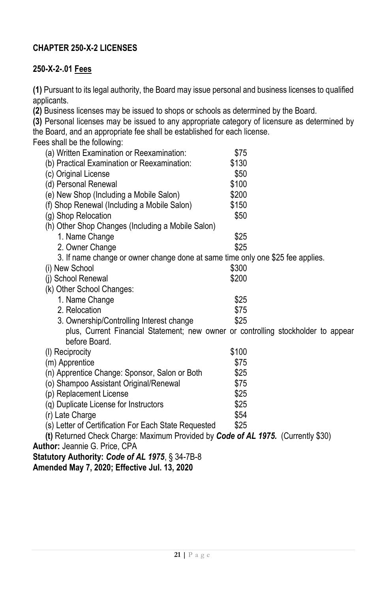# **CHAPTER 250-X-2 LICENSES**

#### **250-X-2-.01 Fees**

**(1)** Pursuant to its legal authority, the Board may issue personal and business licenses to qualified applicants.

**(2)** Business licenses may be issued to shops or schools as determined by the Board.

**(3)** Personal licenses may be issued to any appropriate category of licensure as determined by the Board, and an appropriate fee shall be established for each license.

Fees shall be the following:

| (a) Written Examination or Reexamination:                                                                         | \$75                                                                              |
|-------------------------------------------------------------------------------------------------------------------|-----------------------------------------------------------------------------------|
| (b) Practical Examination or Reexamination:                                                                       | \$130                                                                             |
| (c) Original License                                                                                              | \$50                                                                              |
| (d) Personal Renewal                                                                                              | \$100                                                                             |
| (e) New Shop (Including a Mobile Salon)                                                                           | \$200                                                                             |
| (f) Shop Renewal (Including a Mobile Salon)                                                                       | \$150                                                                             |
| (g) Shop Relocation                                                                                               | \$50                                                                              |
| (h) Other Shop Changes (Including a Mobile Salon)                                                                 |                                                                                   |
| 1. Name Change                                                                                                    | \$25                                                                              |
| 2. Owner Change                                                                                                   | \$25                                                                              |
| 3. If name change or owner change done at same time only one \$25 fee applies.                                    |                                                                                   |
| (i) New School                                                                                                    | \$300                                                                             |
| (i) School Renewal                                                                                                | \$200                                                                             |
| (k) Other School Changes:                                                                                         |                                                                                   |
| 1. Name Change                                                                                                    | \$25                                                                              |
| 2. Relocation                                                                                                     | \$75                                                                              |
| 3. Ownership/Controlling Interest change                                                                          | \$25                                                                              |
| before Board.                                                                                                     | plus, Current Financial Statement; new owner or controlling stockholder to appear |
|                                                                                                                   |                                                                                   |
| (I) Reciprocity                                                                                                   | \$100                                                                             |
| (m) Apprentice                                                                                                    | \$75<br>\$25                                                                      |
| (n) Apprentice Change: Sponsor, Salon or Both                                                                     |                                                                                   |
| (o) Shampoo Assistant Original/Renewal                                                                            | \$75                                                                              |
| (p) Replacement License                                                                                           | \$25                                                                              |
| (q) Duplicate License for Instructors                                                                             | \$25<br>\$54                                                                      |
| (r) Late Charge                                                                                                   | \$25                                                                              |
| (s) Letter of Certification For Each State Requested                                                              |                                                                                   |
| (t) Returned Check Charge: Maximum Provided by Code of AL 1975. (Currently \$30)<br>Author: Jeannie G. Price, CPA |                                                                                   |
|                                                                                                                   |                                                                                   |
| Statutory Authority: Code of AL 1975, § 34-7B-8                                                                   |                                                                                   |
| Amended May 7, 2020; Effective Jul. 13, 2020                                                                      |                                                                                   |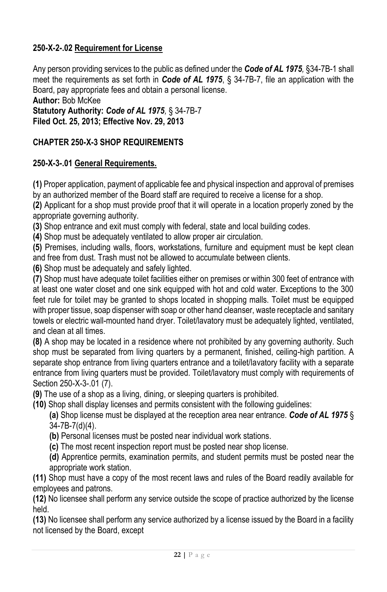# **250-X-2-.02 Requirement for License**

Any person providing services to the public as defined under the *Code of AL 1975,* §34-7B-1 shall meet the requirements as set forth in *Code of AL 1975*, § 34-7B-7, file an application with the Board, pay appropriate fees and obtain a personal license.

**Author:** Bob McKee

**Statutory Authority:** *Code of AL 1975,* § 34-7B-7 **Filed Oct. 25, 2013; Effective Nov. 29, 2013**

## **CHAPTER 250-X-3 SHOP REQUIREMENTS**

#### **250-X-3-.01 General Requirements.**

**(1)** Proper application, payment of applicable fee and physical inspection and approval of premises by an authorized member of the Board staff are required to receive a license for a shop.

**(2)** Applicant for a shop must provide proof that it will operate in a location properly zoned by the appropriate governing authority.

**(3)** Shop entrance and exit must comply with federal, state and local building codes.

**(4)** Shop must be adequately ventilated to allow proper air circulation.

**(5)** Premises, including walls, floors, workstations, furniture and equipment must be kept clean and free from dust. Trash must not be allowed to accumulate between clients.

**(6)** Shop must be adequately and safely lighted.

**(7)** Shop must have adequate toilet facilities either on premises or within 300 feet of entrance with at least one water closet and one sink equipped with hot and cold water. Exceptions to the 300 feet rule for toilet may be granted to shops located in shopping malls. Toilet must be equipped with proper tissue, soap dispenser with soap or other hand cleanser, waste receptacle and sanitary towels or electric wall-mounted hand dryer. Toilet/lavatory must be adequately lighted, ventilated, and clean at all times.

**(8)** A shop may be located in a residence where not prohibited by any governing authority. Such shop must be separated from living quarters by a permanent, finished, ceiling-high partition. A separate shop entrance from living quarters entrance and a toilet/lavatory facility with a separate entrance from living quarters must be provided. Toilet/lavatory must comply with requirements of Section 250-X-3-.01 (7).

**(9)** The use of a shop as a living, dining, or sleeping quarters is prohibited.

**(10)** Shop shall display licenses and permits consistent with the following guidelines:

**(a)** Shop license must be displayed at the reception area near entrance. *Code of AL 1975* § 34-7B-7(d)(4).

**(b)** Personal licenses must be posted near individual work stations.

**(c)** The most recent inspection report must be posted near shop license.

**(d)** Apprentice permits, examination permits, and student permits must be posted near the appropriate work station.

**(11)** Shop must have a copy of the most recent laws and rules of the Board readily available for employees and patrons.

**(12)** No licensee shall perform any service outside the scope of practice authorized by the license held.

**(13)** No licensee shall perform any service authorized by a license issued by the Board in a facility not licensed by the Board, except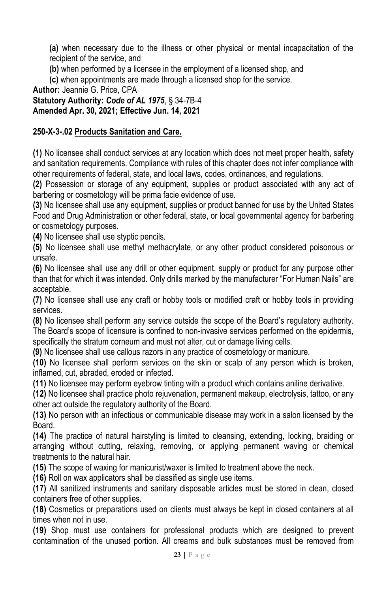**(a)** when necessary due to the illness or other physical or mental incapacitation of the recipient of the service, and

**(b)** when performed by a licensee in the employment of a licensed shop, and

**(c)** when appointments are made through a licensed shop for the service.

**Author:** Jeannie G. Price, CPA

**Statutory Authority:** *Code of AL 1975*, § 34-7B-4 **Amended Apr. 30, 2021; Effective Jun. 14, 2021**

#### **250-X-3-.02 Products Sanitation and Care.**

**(1)** No licensee shall conduct services at any location which does not meet proper health, safety and sanitation requirements. Compliance with rules of this chapter does not infer compliance with other requirements of federal, state, and local laws, codes, ordinances, and regulations.

**(2)** Possession or storage of any equipment, supplies or product associated with any act of barbering or cosmetology will be prima facie evidence of use.

**(3)** No licensee shall use any equipment, supplies or product banned for use by the United States Food and Drug Administration or other federal, state, or local governmental agency for barbering or cosmetology purposes.

**(4)** No licensee shall use styptic pencils.

**(5)** No licensee shall use methyl methacrylate, or any other product considered poisonous or unsafe.

**(6)** No licensee shall use any drill or other equipment, supply or product for any purpose other than that for which it was intended. Only drills marked by the manufacturer "For Human Nails" are acceptable.

**(7)** No licensee shall use any craft or hobby tools or modified craft or hobby tools in providing services.

**(8)** No licensee shall perform any service outside the scope of the Board's regulatory authority. The Board's scope of licensure is confined to non-invasive services performed on the epidermis, specifically the stratum corneum and must not alter, cut or damage living cells.

**(9)** No licensee shall use callous razors in any practice of cosmetology or manicure.

**(10)** No licensee shall perform services on the skin or scalp of any person which is broken, inflamed, cut, abraded, eroded or infected.

**(11)** No licensee may perform eyebrow tinting with a product which contains aniline derivative.

**(12)** No licensee shall practice photo rejuvenation, permanent makeup, electrolysis, tattoo, or any other act outside the regulatory authority of the Board.

**(13)** No person with an infectious or communicable disease may work in a salon licensed by the Board.

**(14)** The practice of natural hairstyling is limited to cleansing, extending, locking, braiding or arranging without cutting, relaxing, removing, or applying permanent waving or chemical treatments to the natural hair.

**(15)** The scope of waxing for manicurist/waxer is limited to treatment above the neck.

**(16)** Roll on wax applicators shall be classified as single use items.

**(17)** All sanitized instruments and sanitary disposable articles must be stored in clean, closed containers free of other supplies.

**(18)** Cosmetics or preparations used on clients must always be kept in closed containers at all times when not in use.

**(19)** Shop must use containers for professional products which are designed to prevent contamination of the unused portion. All creams and bulk substances must be removed from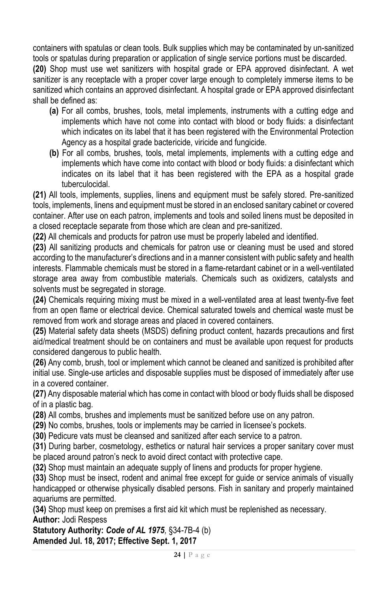containers with spatulas or clean tools. Bulk supplies which may be contaminated by un-sanitized tools or spatulas during preparation or application of single service portions must be discarded.

**(20)** Shop must use wet sanitizers with hospital grade or EPA approved disinfectant. A wet sanitizer is any receptacle with a proper cover large enough to completely immerse items to be sanitized which contains an approved disinfectant. A hospital grade or EPA approved disinfectant shall be defined as:

- **(a)** For all combs, brushes, tools, metal implements, instruments with a cutting edge and implements which have not come into contact with blood or body fluids: a disinfectant which indicates on its label that it has been registered with the Environmental Protection Agency as a hospital grade bactericide, viricide and fungicide.
- **(b)** For all combs, brushes, tools, metal implements, implements with a cutting edge and implements which have come into contact with blood or body fluids: a disinfectant which indicates on its label that it has been registered with the EPA as a hospital grade tuberculocidal.

**(21)** All tools, implements, supplies, linens and equipment must be safely stored. Pre-sanitized tools, implements, linens and equipment must be stored in an enclosed sanitary cabinet or covered container. After use on each patron, implements and tools and soiled linens must be deposited in a closed receptacle separate from those which are clean and pre-sanitized.

**(22)** All chemicals and products for patron use must be properly labeled and identified.

**(23)** All sanitizing products and chemicals for patron use or cleaning must be used and stored according to the manufacturer's directions and in a manner consistent with public safety and health interests. Flammable chemicals must be stored in a flame-retardant cabinet or in a well-ventilated storage area away from combustible materials. Chemicals such as oxidizers, catalysts and solvents must be segregated in storage.

**(24)** Chemicals requiring mixing must be mixed in a well-ventilated area at least twenty-five feet from an open flame or electrical device. Chemical saturated towels and chemical waste must be removed from work and storage areas and placed in covered containers.

**(25)** Material safety data sheets (MSDS) defining product content, hazards precautions and first aid/medical treatment should be on containers and must be available upon request for products considered dangerous to public health.

**(26)** Any comb, brush, tool or implement which cannot be cleaned and sanitized is prohibited after initial use. Single-use articles and disposable supplies must be disposed of immediately after use in a covered container.

**(27)** Any disposable material which has come in contact with blood or body fluids shall be disposed of in a plastic bag.

**(28)** All combs, brushes and implements must be sanitized before use on any patron.

**(29)** No combs, brushes, tools or implements may be carried in licensee's pockets.

**(30)** Pedicure vats must be cleansed and sanitized after each service to a patron.

**(31)** During barber, cosmetology, esthetics or natural hair services a proper sanitary cover must be placed around patron's neck to avoid direct contact with protective cape.

**(32)** Shop must maintain an adequate supply of linens and products for proper hygiene.

**(33)** Shop must be insect, rodent and animal free except for guide or service animals of visually handicapped or otherwise physically disabled persons. Fish in sanitary and properly maintained aquariums are permitted.

**(34)** Shop must keep on premises a first aid kit which must be replenished as necessary. **Author:** Jodi Respess

**Statutory Authority:** *Code of AL 1975,* §34-7B-4 (b) **Amended Jul. 18, 2017; Effective Sept. 1, 2017**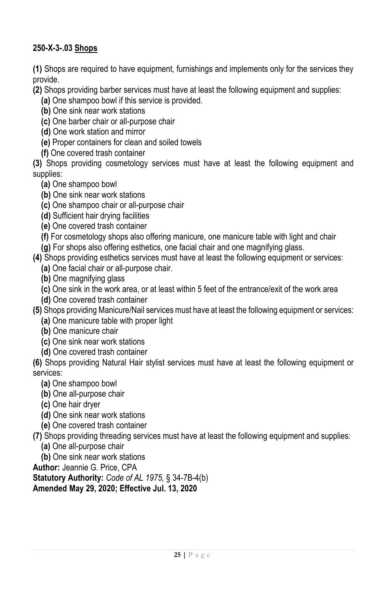## **250-X-3-.03 Shops**

**(1)** Shops are required to have equipment, furnishings and implements only for the services they provide.

**(2)** Shops providing barber services must have at least the following equipment and supplies:

**(a)** One shampoo bowl if this service is provided.

- **(b)** One sink near work stations
- **(c)** One barber chair or all-purpose chair
- **(d)** One work station and mirror
- **(e)** Proper containers for clean and soiled towels
- **(f)** One covered trash container

**(3)** Shops providing cosmetology services must have at least the following equipment and supplies:

- **(a)** One shampoo bowl
- **(b)** One sink near work stations
- **(c)** One shampoo chair or all-purpose chair
- **(d)** Sufficient hair drying facilities
- **(e)** One covered trash container
- **(f)** For cosmetology shops also offering manicure, one manicure table with light and chair
- **(g)** For shops also offering esthetics, one facial chair and one magnifying glass.
- **(4)** Shops providing esthetics services must have at least the following equipment or services:
	- **(a)** One facial chair or all-purpose chair.
	- **(b)** One magnifying glass
	- **(c)** One sink in the work area, or at least within 5 feet of the entrance/exit of the work area
	- **(d)** One covered trash container
- **(5)** Shops providing Manicure/Nail services must have at least the following equipment or services:
	- **(a)** One manicure table with proper light
	- **(b)** One manicure chair
	- **(c)** One sink near work stations
	- **(d)** One covered trash container

**(6)** Shops providing Natural Hair stylist services must have at least the following equipment or services:

- **(a)** One shampoo bowl
- **(b)** One all-purpose chair
- **(c)** One hair dryer
- **(d)** One sink near work stations
- **(e)** One covered trash container

**(7)** Shops providing threading services must have at least the following equipment and supplies:

- **(a)** One all-purpose chair
- **(b)** One sink near work stations

**Author:** Jeannie G. Price, CPA

**Statutory Authority:** *Code of AL 1975,* § 34-7B-4(b)

**Amended May 29, 2020; Effective Jul. 13, 2020**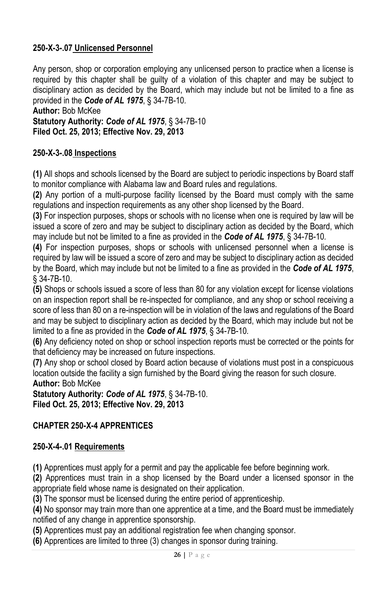### **250-X-3-.07 Unlicensed Personnel**

Any person, shop or corporation employing any unlicensed person to practice when a license is required by this chapter shall be guilty of a violation of this chapter and may be subject to disciplinary action as decided by the Board, which may include but not be limited to a fine as provided in the *Code of AL 1975*, § 34-7B-10*.*

#### **Author:** Bob McKee

**Statutory Authority:** *Code of AL 1975*, § 34-7B-10 **Filed Oct. 25, 2013; Effective Nov. 29, 2013**

#### **250-X-3-.08 Inspections**

**(1)** All shops and schools licensed by the Board are subject to periodic inspections by Board staff to monitor compliance with Alabama law and Board rules and regulations.

**(2)** Any portion of a multi-purpose facility licensed by the Board must comply with the same regulations and inspection requirements as any other shop licensed by the Board.

**(3)** For inspection purposes, shops or schools with no license when one is required by law will be issued a score of zero and may be subject to disciplinary action as decided by the Board, which may include but not be limited to a fine as provided in the *Code of AL 1975*, § 34-7B-10*.*

**(4)** For inspection purposes, shops or schools with unlicensed personnel when a license is required by law will be issued a score of zero and may be subject to disciplinary action as decided by the Board, which may include but not be limited to a fine as provided in the *Code of AL 1975*, § 34-7B-10.

**(5)** Shops or schools issued a score of less than 80 for any violation except for license violations on an inspection report shall be re-inspected for compliance, and any shop or school receiving a score of less than 80 on a re-inspection will be in violation of the laws and regulations of the Board and may be subject to disciplinary action as decided by the Board, which may include but not be limited to a fine as provided in the *Code of AL 1975*, § 34-7B-10*.*

**(6)** Any deficiency noted on shop or school inspection reports must be corrected or the points for that deficiency may be increased on future inspections.

**(7)** Any shop or school closed by Board action because of violations must post in a conspicuous location outside the facility a sign furnished by the Board giving the reason for such closure. **Author:** Bob McKee

**Statutory Authority:** *Code of AL 1975*, § 34-7B-10. **Filed Oct. 25, 2013; Effective Nov. 29, 2013**

## **CHAPTER 250-X-4 APPRENTICES**

#### **250-X-4-.01 Requirements**

**(1)** Apprentices must apply for a permit and pay the applicable fee before beginning work.

**(2)** Apprentices must train in a shop licensed by the Board under a licensed sponsor in the appropriate field whose name is designated on their application.

**(3)** The sponsor must be licensed during the entire period of apprenticeship.

**(4)** No sponsor may train more than one apprentice at a time, and the Board must be immediately notified of any change in apprentice sponsorship.

**(5)** Apprentices must pay an additional registration fee when changing sponsor.

**(6)** Apprentices are limited to three (3) changes in sponsor during training.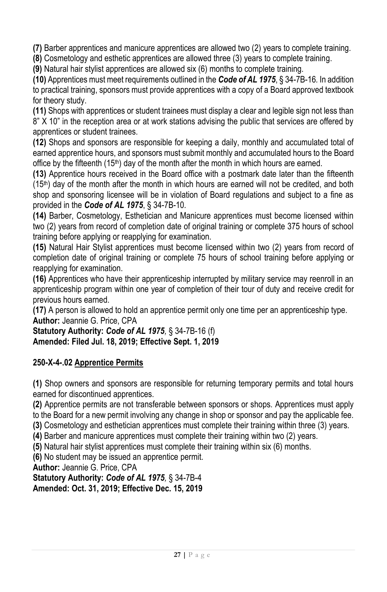**(7)** Barber apprentices and manicure apprentices are allowed two (2) years to complete training.

**(8)** Cosmetology and esthetic apprentices are allowed three (3) years to complete training.

**(9)** Natural hair stylist apprentices are allowed six (6) months to complete training.

**(10)** Apprentices must meet requirements outlined in the *Code of AL 1975*, § 34-7B-16*.* In addition to practical training, sponsors must provide apprentices with a copy of a Board approved textbook for theory study.

**(11)** Shops with apprentices or student trainees must display a clear and legible sign not less than 8" X 10" in the reception area or at work stations advising the public that services are offered by apprentices or student trainees.

**(12)** Shops and sponsors are responsible for keeping a daily, monthly and accumulated total of earned apprentice hours, and sponsors must submit monthly and accumulated hours to the Board office by the fifteenth (15<sup>th</sup>) day of the month after the month in which hours are earned.

**(13)** Apprentice hours received in the Board office with a postmark date later than the fifteenth  $(15<sup>th</sup>)$  day of the month after the month in which hours are earned will not be credited, and both shop and sponsoring licensee will be in violation of Board regulations and subject to a fine as provided in the *Code of AL 1975*, § 34-7B-10*.* 

**(14)** Barber, Cosmetology, Esthetician and Manicure apprentices must become licensed within two (2) years from record of completion date of original training or complete 375 hours of school training before applying or reapplying for examination.

**(15)** Natural Hair Stylist apprentices must become licensed within two (2) years from record of completion date of original training or complete 75 hours of school training before applying or reapplying for examination.

**(16)** Apprentices who have their apprenticeship interrupted by military service may reenroll in an apprenticeship program within one year of completion of their tour of duty and receive credit for previous hours earned.

**(17)** A person is allowed to hold an apprentice permit only one time per an apprenticeship type. **Author:** Jeannie G. Price, CPA

**Statutory Authority:** *Code of AL 1975,* § 34-7B-16 (f) **Amended: Filed Jul. 18, 2019; Effective Sept. 1, 2019**

## **250-X-4-.02 Apprentice Permits**

**(1)** Shop owners and sponsors are responsible for returning temporary permits and total hours earned for discontinued apprentices.

**(2)** Apprentice permits are not transferable between sponsors or shops. Apprentices must apply to the Board for a new permit involving any change in shop or sponsor and pay the applicable fee.

**(3)** Cosmetology and esthetician apprentices must complete their training within three (3) years.

**(4)** Barber and manicure apprentices must complete their training within two (2) years.

**(5)** Natural hair stylist apprentices must complete their training within six (6) months.

**(6)** No student may be issued an apprentice permit.

**Author:** Jeannie G. Price, CPA

**Statutory Authority:** *Code of AL 1975,* § 34-7B-4 **Amended: Oct. 31, 2019; Effective Dec. 15, 2019**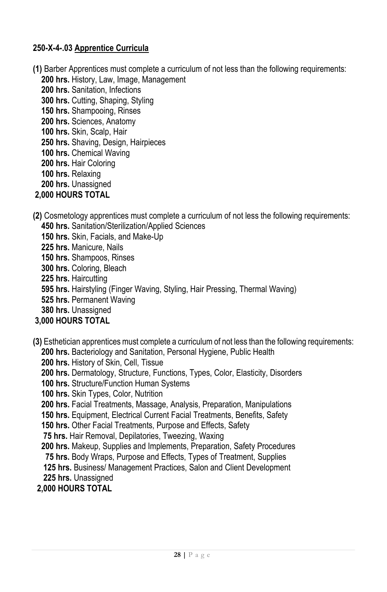#### **250-X-4-.03 Apprentice Curricula**

- **(1)** Barber Apprentices must complete a curriculum of not less than the following requirements:
	- **200 hrs.** History, Law, Image, Management
	- **200 hrs.** Sanitation, Infections
	- **300 hrs.** Cutting, Shaping, Styling
	- **150 hrs.** Shampooing, Rinses
	- **200 hrs.** Sciences, Anatomy
	- **100 hrs.** Skin, Scalp, Hair
	- **250 hrs.** Shaving, Design, Hairpieces
	- **100 hrs.** Chemical Waving
	- **200 hrs.** Hair Coloring
	- **100 hrs.** Relaxing
- **200 hrs.** Unassigned
- **2,000 HOURS TOTAL**

**(2)** Cosmetology apprentices must complete a curriculum of not less the following requirements:

- **450 hrs.** Sanitation/Sterilization/Applied Sciences
- **150 hrs.** Skin, Facials, and Make-Up
- **225 hrs.** Manicure, Nails
- **150 hrs.** Shampoos, Rinses
- **300 hrs.** Coloring, Bleach
- **225 hrs.** Haircutting
- **595 hrs.** Hairstyling (Finger Waving, Styling, Hair Pressing, Thermal Waving)
- **525 hrs.** Permanent Waving
- **380 hrs.** Unassigned
- **3,000 HOURS TOTAL**

**(3)** Esthetician apprentices must complete a curriculum of not less than the following requirements:  **200 hrs.** Bacteriology and Sanitation, Personal Hygiene, Public Health

- **200 hrs.** History of Skin, Cell, Tissue
- **200 hrs.** Dermatology, Structure, Functions, Types, Color, Elasticity, Disorders
- **100 hrs.** Structure/Function Human Systems
- **100 hrs.** Skin Types, Color, Nutrition
- **200 hrs.** Facial Treatments, Massage, Analysis, Preparation, Manipulations
- **150 hrs.** Equipment, Electrical Current Facial Treatments, Benefits, Safety
- **150 hrs.** Other Facial Treatments, Purpose and Effects, Safety
- **75 hrs.** Hair Removal, Depilatories, Tweezing, Waxing
- **200 hrs.** Makeup, Supplies and Implements, Preparation, Safety Procedures
- **75 hrs.** Body Wraps, Purpose and Effects, Types of Treatment, Supplies
- **125 hrs.** Business/ Management Practices, Salon and Client Development
- **225 hrs.** Unassigned
- **2,000 HOURS TOTAL**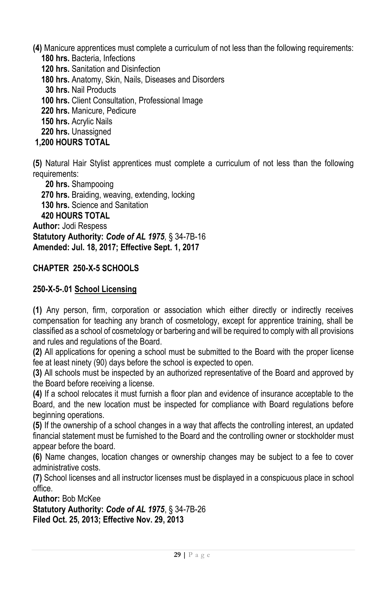**(4)** Manicure apprentices must complete a curriculum of not less than the following requirements:

- **180 hrs.** Bacteria, Infections
- **120 hrs.** Sanitation and Disinfection
- **180 hrs.** Anatomy, Skin, Nails, Diseases and Disorders
- **30 hrs.** Nail Products
- **100 hrs.** Client Consultation, Professional Image
- **220 hrs.** Manicure, Pedicure
- **150 hrs.** Acrylic Nails
- **220 hrs.** Unassigned
- **1,200 HOURS TOTAL**

**(5)** Natural Hair Stylist apprentices must complete a curriculum of not less than the following requirements:

 **20 hrs.** Shampooing **270 hrs.** Braiding, weaving, extending, locking  **130 hrs.** Science and Sanitation **420 HOURS TOTAL**

**Author:** Jodi Respess **Statutory Authority:** *Code of AL 1975,* § 34-7B-16

**Amended: Jul. 18, 2017; Effective Sept. 1, 2017**

## **CHAPTER 250-X-5 SCHOOLS**

#### **250-X-5-.01 School Licensing**

**(1)** Any person, firm, corporation or association which either directly or indirectly receives compensation for teaching any branch of cosmetology, except for apprentice training, shall be classified as a school of cosmetology or barbering and will be required to comply with all provisions and rules and regulations of the Board.

**(2)** All applications for opening a school must be submitted to the Board with the proper license fee at least ninety (90) days before the school is expected to open.

**(3)** All schools must be inspected by an authorized representative of the Board and approved by the Board before receiving a license.

**(4)** If a school relocates it must furnish a floor plan and evidence of insurance acceptable to the Board, and the new location must be inspected for compliance with Board regulations before beginning operations.

**(5)** If the ownership of a school changes in a way that affects the controlling interest, an updated financial statement must be furnished to the Board and the controlling owner or stockholder must appear before the board.

**(6)** Name changes, location changes or ownership changes may be subject to a fee to cover administrative costs.

**(7)** School licenses and all instructor licenses must be displayed in a conspicuous place in school office.

**Author:** Bob McKee

**Statutory Authority:** *Code of AL 1975*, § 34-7B-26 **Filed Oct. 25, 2013; Effective Nov. 29, 2013**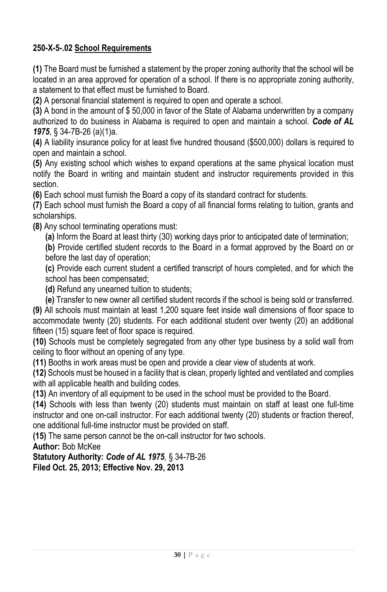# **250-X-5-.02 School Requirements**

**(1)** The Board must be furnished a statement by the proper zoning authority that the school will be located in an area approved for operation of a school. If there is no appropriate zoning authority, a statement to that effect must be furnished to Board.

**(2)** A personal financial statement is required to open and operate a school.

**(3)** A bond in the amount of \$ 50,000 in favor of the State of Alabama underwritten by a company authorized to do business in Alabama is required to open and maintain a school. *Code of AL 1975*, § 34-7B-26 (a)(1)a.

**(4)** A liability insurance policy for at least five hundred thousand (\$500,000) dollars is required to open and maintain a school.

**(5)** Any existing school which wishes to expand operations at the same physical location must notify the Board in writing and maintain student and instructor requirements provided in this section.

**(6)** Each school must furnish the Board a copy of its standard contract for students.

**(7)** Each school must furnish the Board a copy of all financial forms relating to tuition, grants and scholarships.

**(8)** Any school terminating operations must:

**(a)** Inform the Board at least thirty (30) working days prior to anticipated date of termination;

**(b)** Provide certified student records to the Board in a format approved by the Board on or before the last day of operation;

**(c)** Provide each current student a certified transcript of hours completed, and for which the school has been compensated;

**(d)** Refund any unearned tuition to students;

**(e)** Transfer to new owner all certified student records if the school is being sold or transferred.

**(9)** All schools must maintain at least 1,200 square feet inside wall dimensions of floor space to accommodate twenty (20) students. For each additional student over twenty (20) an additional fifteen (15) square feet of floor space is required.

**(10)** Schools must be completely segregated from any other type business by a solid wall from ceiling to floor without an opening of any type.

**(11)** Booths in work areas must be open and provide a clear view of students at work.

**(12)** Schools must be housed in a facility that is clean, properly lighted and ventilated and complies with all applicable health and building codes.

**(13)** An inventory of all equipment to be used in the school must be provided to the Board.

**(14)** Schools with less than twenty (20) students must maintain on staff at least one full-time instructor and one on-call instructor. For each additional twenty (20) students or fraction thereof, one additional full-time instructor must be provided on staff.

**(15)** The same person cannot be the on-call instructor for two schools.

**Author:** Bob McKee

**Statutory Authority:** *Code of AL 1975,* § 34-7B-26

**Filed Oct. 25, 2013; Effective Nov. 29, 2013**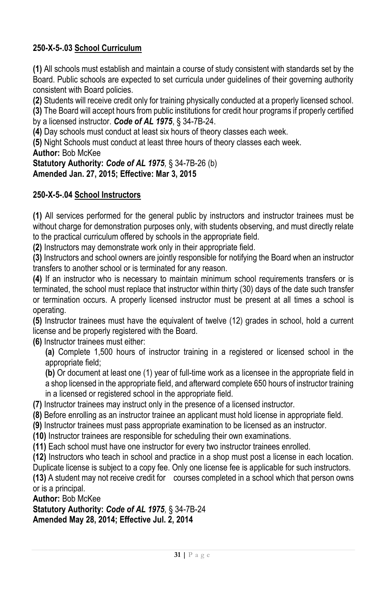# **250-X-5-.03 School Curriculum**

**(1)** All schools must establish and maintain a course of study consistent with standards set by the Board. Public schools are expected to set curricula under guidelines of their governing authority consistent with Board policies.

**(2)** Students will receive credit only for training physically conducted at a properly licensed school.

**(3)** The Board will accept hours from public institutions for credit hour programs if properly certified by a licensed instructor. *Code of AL 1975*, § 34-7B-24.

**(4)** Day schools must conduct at least six hours of theory classes each week.

**(5)** Night Schools must conduct at least three hours of theory classes each week.

**Author:** Bob McKee

**Statutory Authority:** *Code of AL 1975,* § 34-7B-26 (b)

**Amended Jan. 27, 2015; Effective: Mar 3, 2015**

#### **250-X-5-.04 School Instructors**

**(1)** All services performed for the general public by instructors and instructor trainees must be without charge for demonstration purposes only, with students observing, and must directly relate to the practical curriculum offered by schools in the appropriate field.

**(2)** Instructors may demonstrate work only in their appropriate field.

**(3)** Instructors and school owners are jointly responsible for notifying the Board when an instructor transfers to another school or is terminated for any reason.

**(4)** If an instructor who is necessary to maintain minimum school requirements transfers or is terminated, the school must replace that instructor within thirty (30) days of the date such transfer or termination occurs. A properly licensed instructor must be present at all times a school is operating.

**(5)** Instructor trainees must have the equivalent of twelve (12) grades in school, hold a current license and be properly registered with the Board.

**(6)** Instructor trainees must either:

**(a)** Complete 1,500 hours of instructor training in a registered or licensed school in the appropriate field;

**(b)** Or document at least one (1) year of full-time work as a licensee in the appropriate field in a shop licensed in the appropriate field, and afterward complete 650 hours of instructor training in a licensed or registered school in the appropriate field.

**(7)** Instructor trainees may instruct only in the presence of a licensed instructor.

**(8)** Before enrolling as an instructor trainee an applicant must hold license in appropriate field.

**(9)** Instructor trainees must pass appropriate examination to be licensed as an instructor.

**(10)** Instructor trainees are responsible for scheduling their own examinations.

**(11)** Each school must have one instructor for every two instructor trainees enrolled.

**(12)** Instructors who teach in school and practice in a shop must post a license in each location.

Duplicate license is subject to a copy fee. Only one license fee is applicable for such instructors. **(13)** A student may not receive credit for courses completed in a school which that person owns or is a principal.

**Author:** Bob McKee

**Statutory Authority:** *Code of AL 1975,* § 34-7B-24 **Amended May 28, 2014; Effective Jul. 2, 2014**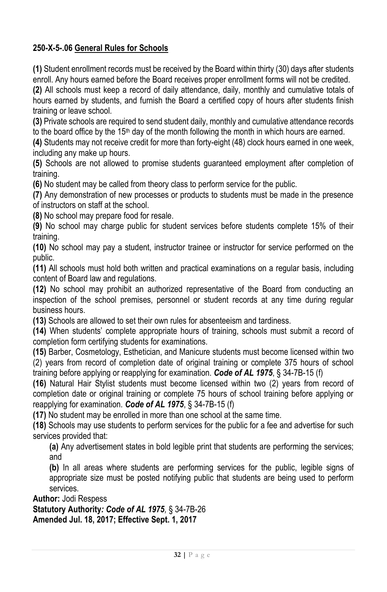## **250-X-5-.06 General Rules for Schools**

**(1)** Student enrollment records must be received by the Board within thirty (30) days after students enroll. Any hours earned before the Board receives proper enrollment forms will not be credited.

**(2)** All schools must keep a record of daily attendance, daily, monthly and cumulative totals of hours earned by students, and furnish the Board a certified copy of hours after students finish training or leave school.

**(3)** Private schools are required to send student daily, monthly and cumulative attendance records to the board office by the  $15<sup>th</sup>$  day of the month following the month in which hours are earned.

**(4)** Students may not receive credit for more than forty-eight (48) clock hours earned in one week, including any make up hours.

**(5)** Schools are not allowed to promise students guaranteed employment after completion of training.

**(6)** No student may be called from theory class to perform service for the public.

**(7)** Any demonstration of new processes or products to students must be made in the presence of instructors on staff at the school.

**(8)** No school may prepare food for resale.

**(9)** No school may charge public for student services before students complete 15% of their training.

**(10)** No school may pay a student, instructor trainee or instructor for service performed on the public.

**(11)** All schools must hold both written and practical examinations on a regular basis, including content of Board law and regulations.

**(12)** No school may prohibit an authorized representative of the Board from conducting an inspection of the school premises, personnel or student records at any time during regular business hours.

**(13)** Schools are allowed to set their own rules for absenteeism and tardiness.

**(14)** When students' complete appropriate hours of training, schools must submit a record of completion form certifying students for examinations.

**(15)** Barber, Cosmetology, Esthetician, and Manicure students must become licensed within two (2) years from record of completion date of original training or complete 375 hours of school training before applying or reapplying for examination. *Code of AL 1975*, § 34-7B-15 (f)

**(16)** Natural Hair Stylist students must become licensed within two (2) years from record of completion date or original training or complete 75 hours of school training before applying or reapplying for examination. *Code of AL 1975*, § 34-7B-15 (f)

**(17)** No student may be enrolled in more than one school at the same time.

**(18)** Schools may use students to perform services for the public for a fee and advertise for such services provided that:

**(a)** Any advertisement states in bold legible print that students are performing the services; and

**(b)** In all areas where students are performing services for the public, legible signs of appropriate size must be posted notifying public that students are being used to perform services.

**Author:** Jodi Respess

**Statutory Authority***: Code of AL 1975,* § 34-7B-26 **Amended Jul. 18, 2017; Effective Sept. 1, 2017**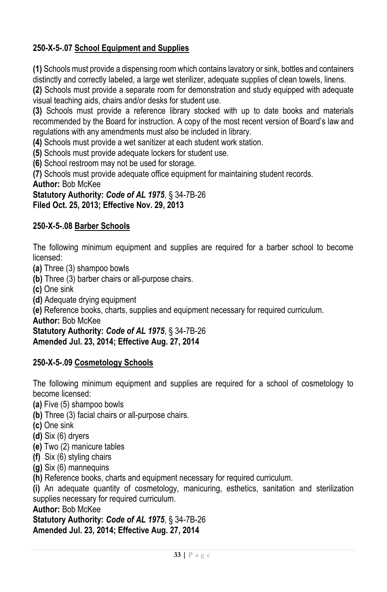# **250-X-5-.07 School Equipment and Supplies**

**(1)** Schools must provide a dispensing room which contains lavatory or sink, bottles and containers distinctly and correctly labeled, a large wet sterilizer, adequate supplies of clean towels, linens.

**(2)** Schools must provide a separate room for demonstration and study equipped with adequate visual teaching aids, chairs and/or desks for student use.

**(3)** Schools must provide a reference library stocked with up to date books and materials recommended by the Board for instruction. A copy of the most recent version of Board's law and regulations with any amendments must also be included in library.

**(4)** Schools must provide a wet sanitizer at each student work station.

**(5)** Schools must provide adequate lockers for student use.

**(6)** School restroom may not be used for storage.

**(7)** Schools must provide adequate office equipment for maintaining student records.

**Author:** Bob McKee

**Statutory Authority:** *Code of AL 1975,* § 34-7B-26 **Filed Oct. 25, 2013; Effective Nov. 29, 2013**

#### **250-X-5-.08 Barber Schools**

The following minimum equipment and supplies are required for a barber school to become licensed:

**(a)** Three (3) shampoo bowls

**(b)** Three (3) barber chairs or all-purpose chairs.

**(c)** One sink

**(d)** Adequate drying equipment

**(e)** Reference books, charts, supplies and equipment necessary for required curriculum.

**Author:** Bob McKee

#### **Statutory Authority:** *Code of AL 1975*, § 34-7B-26 **Amended Jul. 23, 2014; Effective Aug. 27, 2014**

#### **250-X-5-.09 Cosmetology Schools**

The following minimum equipment and supplies are required for a school of cosmetology to become licensed:

**(a)** Five (5) shampoo bowls

**(b)** Three (3) facial chairs or all-purpose chairs.

**(c)** One sink

**(d)** Six (6) dryers

- **(e)** Two (2) manicure tables
- **(f)** Six (6) styling chairs
- **(g)** Six (6) mannequins

**(h)** Reference books, charts and equipment necessary for required curriculum.

**(i)** An adequate quantity of cosmetology, manicuring, esthetics, sanitation and sterilization supplies necessary for required curriculum.

**Author:** Bob McKee

**Statutory Authority:** *Code of AL 1975,* § 34-7B-26

**Amended Jul. 23, 2014; Effective Aug. 27, 2014**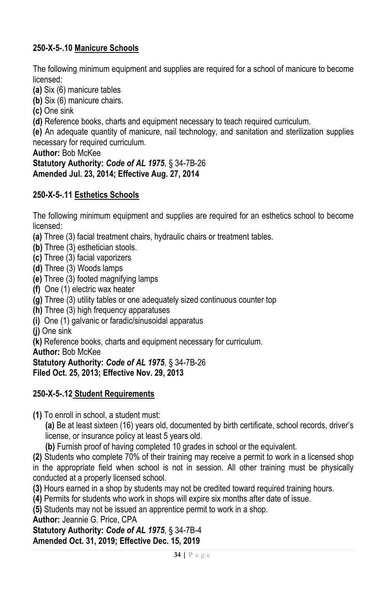# **250-X-5-.10 Manicure Schools**

The following minimum equipment and supplies are required for a school of manicure to become licensed:

**(a)** Six (6) manicure tables

**(b)** Six (6) manicure chairs.

**(c)** One sink

**(d)** Reference books, charts and equipment necessary to teach required curriculum.

**(e)** An adequate quantity of manicure, nail technology, and sanitation and sterilization supplies necessary for required curriculum.

**Author:** Bob McKee **Statutory Authority:** *Code of AL 1975,* § 34-7B-26 **Amended Jul. 23, 2014; Effective Aug. 27, 2014**

#### **250-X-5-.11 Esthetics Schools**

The following minimum equipment and supplies are required for an esthetics school to become licensed:

- **(a)** Three (3) facial treatment chairs, hydraulic chairs or treatment tables.
- **(b)** Three (3) esthetician stools.
- **(c)** Three (3) facial vaporizers
- **(d)** Three (3) Woods lamps
- **(e)** Three (3) footed magnifying lamps
- **(f)** One (1) electric wax heater
- **(g)** Three (3) utility tables or one adequately sized continuous counter top
- **(h)** Three (3) high frequency apparatuses
- **(i)** One (1) galvanic or faradic/sinusoidal apparatus

**(j)** One sink

**(k)** Reference books, charts and equipment necessary for curriculum.

**Author:** Bob McKee

**Statutory Authority:** *Code of AL 1975,* § 34-7B-26

**Filed Oct. 25, 2013; Effective Nov. 29, 2013**

#### **250-X-5-.12 Student Requirements**

**(1)** To enroll in school, a student must:

**(a)** Be at least sixteen (16) years old, documented by birth certificate, school records, driver's license, or insurance policy at least 5 years old.

**(b)** Furnish proof of having completed 10 grades in school or the equivalent.

**(2)** Students who complete 70% of their training may receive a permit to work in a licensed shop in the appropriate field when school is not in session. All other training must be physically conducted at a properly licensed school.

**(3)** Hours earned in a shop by students may not be credited toward required training hours.

**(4)** Permits for students who work in shops will expire six months after date of issue.

**(5)** Students may not be issued an apprentice permit to work in a shop.

**Author:** Jeannie G. Price, CPA

**Statutory Authority:** *Code of AL 1975,* § 34-7B-4 **Amended Oct. 31, 2019; Effective Dec. 15, 2019**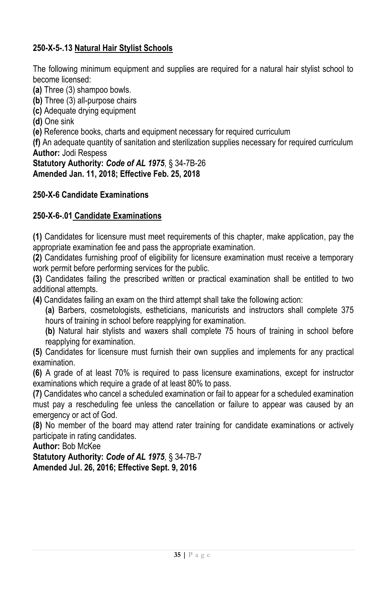# **250-X-5-.13 Natural Hair Stylist Schools**

The following minimum equipment and supplies are required for a natural hair stylist school to become licensed:

**(a)** Three (3) shampoo bowls.

**(b)** Three (3) all-purpose chairs

**(c)** Adequate drying equipment

**(d)** One sink

**(e)** Reference books, charts and equipment necessary for required curriculum

**(f)** An adequate quantity of sanitation and sterilization supplies necessary for required curriculum **Author:** Jodi Respess

**Statutory Authority:** *Code of AL 1975,* § 34-7B-26

**Amended Jan. 11, 2018; Effective Feb. 25, 2018**

#### **250-X-6 Candidate Examinations**

#### **250-X-6-.01 Candidate Examinations**

**(1)** Candidates for licensure must meet requirements of this chapter, make application, pay the appropriate examination fee and pass the appropriate examination.

**(2)** Candidates furnishing proof of eligibility for licensure examination must receive a temporary work permit before performing services for the public.

**(3)** Candidates failing the prescribed written or practical examination shall be entitled to two additional attempts.

**(4)** Candidates failing an exam on the third attempt shall take the following action:

**(a)** Barbers, cosmetologists, estheticians, manicurists and instructors shall complete 375 hours of training in school before reapplying for examination.

**(b)** Natural hair stylists and waxers shall complete 75 hours of training in school before reapplying for examination.

**(5)** Candidates for licensure must furnish their own supplies and implements for any practical examination.

**(6)** A grade of at least 70% is required to pass licensure examinations, except for instructor examinations which require a grade of at least 80% to pass.

**(7)** Candidates who cancel a scheduled examination or fail to appear for a scheduled examination must pay a rescheduling fee unless the cancellation or failure to appear was caused by an emergency or act of God.

**(8)** No member of the board may attend rater training for candidate examinations or actively participate in rating candidates.

**Author:** Bob McKee

**Statutory Authority:** *Code of AL 1975,* § 34-7B-7 **Amended Jul. 26, 2016; Effective Sept. 9, 2016**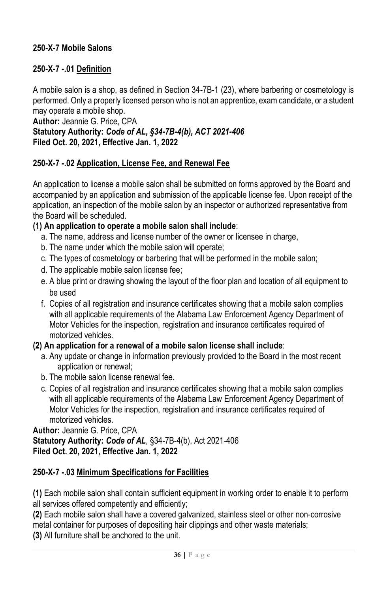#### **250-X-7 Mobile Salons**

#### **250-X-7 -.01 Definition**

A mobile salon is a shop, as defined in Section 34-7B-1 (23), where barbering or cosmetology is performed. Only a properly licensed person who is not an apprentice, exam candidate, or a student may operate a mobile shop.

**Author:** Jeannie G. Price, CPA **Statutory Authority:** *Code of AL, §34-7B-4(b), ACT 2021-406* **Filed Oct. 20, 2021, Effective Jan. 1, 2022**

#### **250-X-7 -.02 Application, License Fee, and Renewal Fee**

An application to license a mobile salon shall be submitted on forms approved by the Board and accompanied by an application and submission of the applicable license fee. Upon receipt of the application, an inspection of the mobile salon by an inspector or authorized representative from the Board will be scheduled.

#### **(1) An application to operate a mobile salon shall include**:

- a. The name, address and license number of the owner or licensee in charge,
- b. The name under which the mobile salon will operate;
- c. The types of cosmetology or barbering that will be performed in the mobile salon;
- d. The applicable mobile salon license fee;
- e. A blue print or drawing showing the layout of the floor plan and location of all equipment to be used
- f. Copies of all registration and insurance certificates showing that a mobile salon complies with all applicable requirements of the Alabama Law Enforcement Agency Department of Motor Vehicles for the inspection, registration and insurance certificates required of motorized vehicles.

#### **(2) An application for a renewal of a mobile salon license shall include**:

- a. Any update or change in information previously provided to the Board in the most recent application or renewal;
- b. The mobile salon license renewal fee.
- c. Copies of all registration and insurance certificates showing that a mobile salon complies with all applicable requirements of the Alabama Law Enforcement Agency Department of Motor Vehicles for the inspection, registration and insurance certificates required of motorized vehicles.

## **Author:** Jeannie G. Price, CPA

**Statutory Authority:** *Code of AL*, §34-7B-4(b), Act 2021-406 **Filed Oct. 20, 2021, Effective Jan. 1, 2022**

#### **250-X-7 -.03 Minimum Specifications for Facilities**

**(1)** Each mobile salon shall contain sufficient equipment in working order to enable it to perform all services offered competently and efficiently;

**(2)** Each mobile salon shall have a covered galvanized, stainless steel or other non-corrosive metal container for purposes of depositing hair clippings and other waste materials;

**(3)** All furniture shall be anchored to the unit.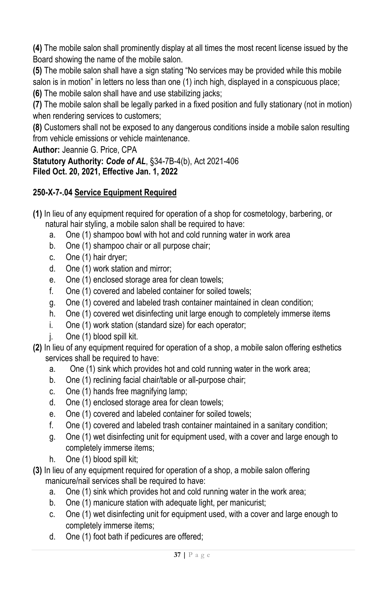**(4)** The mobile salon shall prominently display at all times the most recent license issued by the Board showing the name of the mobile salon.

**(5)** The mobile salon shall have a sign stating "No services may be provided while this mobile salon is in motion" in letters no less than one (1) inch high, displayed in a conspicuous place;

**(6)** The mobile salon shall have and use stabilizing jacks;

**(7)** The mobile salon shall be legally parked in a fixed position and fully stationary (not in motion) when rendering services to customers;

**(8)** Customers shall not be exposed to any dangerous conditions inside a mobile salon resulting from vehicle emissions or vehicle maintenance.

**Author:** Jeannie G. Price, CPA

**Statutory Authority:** *Code of AL*, §34-7B-4(b), Act 2021-406 **Filed Oct. 20, 2021, Effective Jan. 1, 2022**

# **250-X-7-.04 Service Equipment Required**

- **(1)** In lieu of any equipment required for operation of a shop for cosmetology, barbering, or natural hair styling, a mobile salon shall be required to have:
	- a. One (1) shampoo bowl with hot and cold running water in work area
	- b. One (1) shampoo chair or all purpose chair;
	- c. One (1) hair dryer;
	- d. One (1) work station and mirror;
	- e. One (1) enclosed storage area for clean towels;
	- f. One (1) covered and labeled container for soiled towels;
	- g. One (1) covered and labeled trash container maintained in clean condition;
	- h. One (1) covered wet disinfecting unit large enough to completely immerse items
	- i. One (1) work station (standard size) for each operator;
	- j. One (1) blood spill kit.
- **(2)** In lieu of any equipment required for operation of a shop, a mobile salon offering esthetics services shall be required to have:
	- a. One (1) sink which provides hot and cold running water in the work area;
	- b. One (1) reclining facial chair/table or all-purpose chair;
	- c. One (1) hands free magnifying lamp;
	- d. One (1) enclosed storage area for clean towels;
	- e. One (1) covered and labeled container for soiled towels;
	- f. One (1) covered and labeled trash container maintained in a sanitary condition;
	- g. One (1) wet disinfecting unit for equipment used, with a cover and large enough to completely immerse items;
	- h. One (1) blood spill kit;
- **(3)** In lieu of any equipment required for operation of a shop, a mobile salon offering manicure/nail services shall be required to have:
	- a. One (1) sink which provides hot and cold running water in the work area;
	- b. One (1) manicure station with adequate light, per manicurist;
	- c. One (1) wet disinfecting unit for equipment used, with a cover and large enough to completely immerse items;
	- d. One (1) foot bath if pedicures are offered;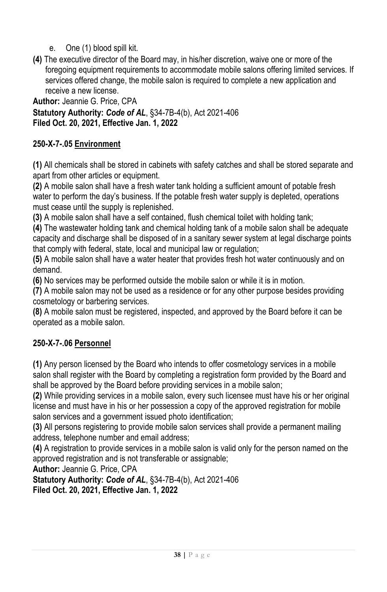- e. One (1) blood spill kit.
- **(4)** The executive director of the Board may, in his/her discretion, waive one or more of the foregoing equipment requirements to accommodate mobile salons offering limited services. If services offered change, the mobile salon is required to complete a new application and receive a new license.

**Author:** Jeannie G. Price, CPA

**Statutory Authority:** *Code of AL*, §34-7B-4(b), Act 2021-406 **Filed Oct. 20, 2021, Effective Jan. 1, 2022**

# **250-X-7-.05 Environment**

**(1)** All chemicals shall be stored in cabinets with safety catches and shall be stored separate and apart from other articles or equipment.

**(2)** A mobile salon shall have a fresh water tank holding a sufficient amount of potable fresh water to perform the day's business. If the potable fresh water supply is depleted, operations must cease until the supply is replenished.

**(3)** A mobile salon shall have a self contained, flush chemical toilet with holding tank;

**(4)** The wastewater holding tank and chemical holding tank of a mobile salon shall be adequate capacity and discharge shall be disposed of in a sanitary sewer system at legal discharge points that comply with federal, state, local and municipal law or regulation;

**(5)** A mobile salon shall have a water heater that provides fresh hot water continuously and on demand.

**(6)** No services may be performed outside the mobile salon or while it is in motion.

**(7)** A mobile salon may not be used as a residence or for any other purpose besides providing cosmetology or barbering services.

**(8)** A mobile salon must be registered, inspected, and approved by the Board before it can be operated as a mobile salon.

## **250-X-7-.06 Personnel**

**(1)** Any person licensed by the Board who intends to offer cosmetology services in a mobile salon shall register with the Board by completing a registration form provided by the Board and shall be approved by the Board before providing services in a mobile salon;

**(2)** While providing services in a mobile salon, every such licensee must have his or her original license and must have in his or her possession a copy of the approved registration for mobile salon services and a government issued photo identification;

**(3)** All persons registering to provide mobile salon services shall provide a permanent mailing address, telephone number and email address;

**(4)** A registration to provide services in a mobile salon is valid only for the person named on the approved registration and is not transferable or assignable;

**Author:** Jeannie G. Price, CPA

**Statutory Authority:** *Code of AL*, §34-7B-4(b), Act 2021-406 **Filed Oct. 20, 2021, Effective Jan. 1, 2022**